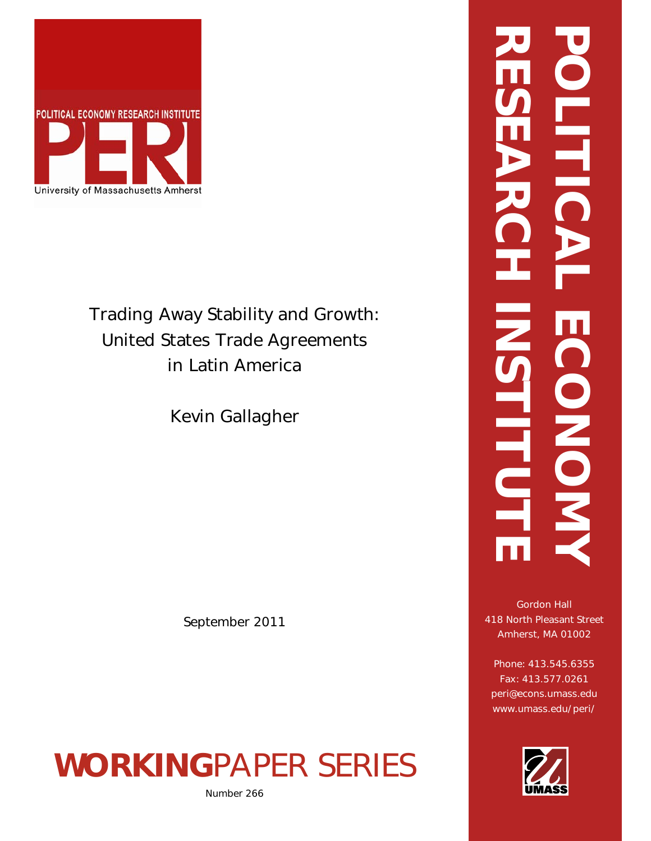

Trading Away Stability and Growth: United States Trade Agreements in Latin America

Kevin Gallagher

September 2011

**WORKING**PAPER SERIES

Number 266

# **RESEARCH INSTITUTE POLITICAL ECONOMY LITIC** CONOM <u>LITU</u>

Gordon Hall 418 North Pleasant Street Amherst, MA 01002

Phone: 413.545.6355 Fax: 413.577.0261 peri@econs.umass.edu www.umass.edu/peri/

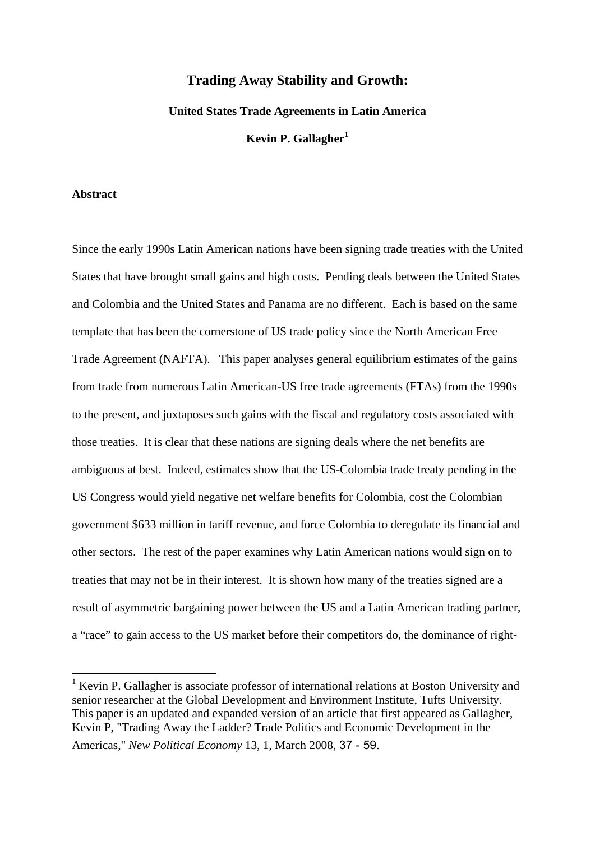# **Trading Away Stability and Growth: United States Trade Agreements in Latin America**  Kevin P. Gallagher<sup>1</sup>

# **Abstract**

<u>.</u>

Since the early 1990s Latin American nations have been signing trade treaties with the United States that have brought small gains and high costs. Pending deals between the United States and Colombia and the United States and Panama are no different. Each is based on the same template that has been the cornerstone of US trade policy since the North American Free Trade Agreement (NAFTA). This paper analyses general equilibrium estimates of the gains from trade from numerous Latin American-US free trade agreements (FTAs) from the 1990s to the present, and juxtaposes such gains with the fiscal and regulatory costs associated with those treaties. It is clear that these nations are signing deals where the net benefits are ambiguous at best. Indeed, estimates show that the US-Colombia trade treaty pending in the US Congress would yield negative net welfare benefits for Colombia, cost the Colombian government \$633 million in tariff revenue, and force Colombia to deregulate its financial and other sectors. The rest of the paper examines why Latin American nations would sign on to treaties that may not be in their interest. It is shown how many of the treaties signed are a result of asymmetric bargaining power between the US and a Latin American trading partner, a "race" to gain access to the US market before their competitors do, the dominance of right-

<sup>&</sup>lt;sup>1</sup> Kevin P. Gallagher is associate professor of international relations at Boston University and senior researcher at the Global Development and Environment Institute, Tufts University. This paper is an updated and expanded version of an article that first appeared as Gallagher, Kevin P, "Trading Away the Ladder? Trade Politics and Economic Development in the Americas," *New Political Economy* 13, 1, March 2008, 37 - 59.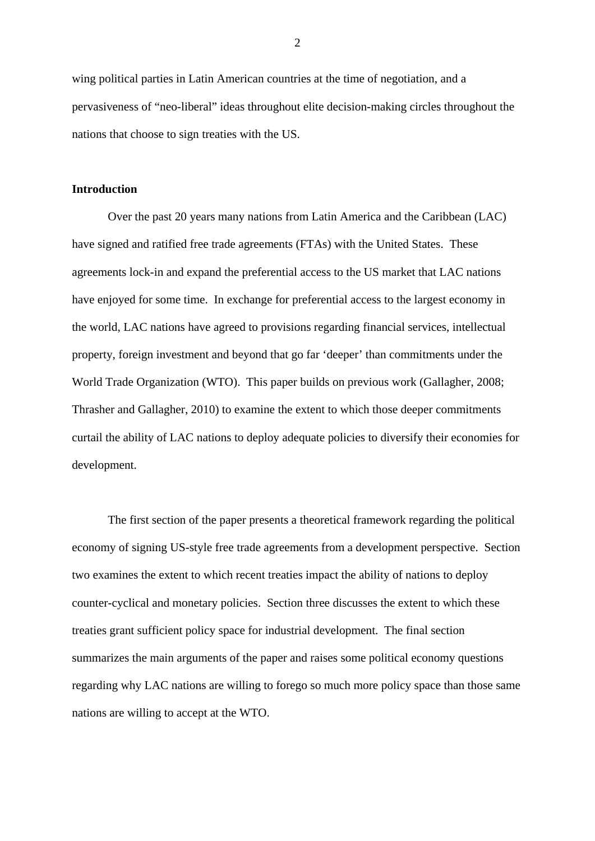wing political parties in Latin American countries at the time of negotiation, and a pervasiveness of "neo-liberal" ideas throughout elite decision-making circles throughout the nations that choose to sign treaties with the US.

# **Introduction**

Over the past 20 years many nations from Latin America and the Caribbean (LAC) have signed and ratified free trade agreements (FTAs) with the United States. These agreements lock-in and expand the preferential access to the US market that LAC nations have enjoyed for some time. In exchange for preferential access to the largest economy in the world, LAC nations have agreed to provisions regarding financial services, intellectual property, foreign investment and beyond that go far 'deeper' than commitments under the World Trade Organization (WTO). This paper builds on previous work (Gallagher, 2008; Thrasher and Gallagher, 2010) to examine the extent to which those deeper commitments curtail the ability of LAC nations to deploy adequate policies to diversify their economies for development.

The first section of the paper presents a theoretical framework regarding the political economy of signing US-style free trade agreements from a development perspective. Section two examines the extent to which recent treaties impact the ability of nations to deploy counter-cyclical and monetary policies. Section three discusses the extent to which these treaties grant sufficient policy space for industrial development. The final section summarizes the main arguments of the paper and raises some political economy questions regarding why LAC nations are willing to forego so much more policy space than those same nations are willing to accept at the WTO.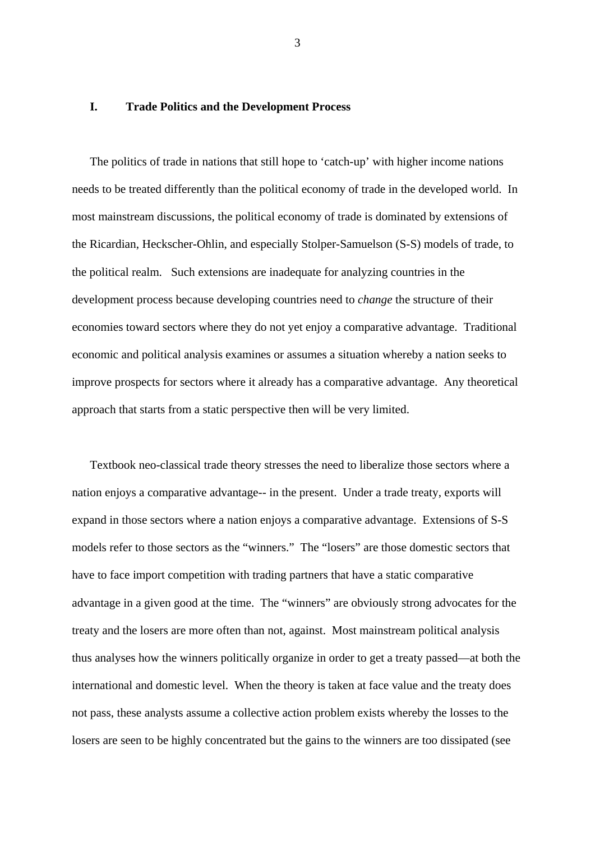# **I. Trade Politics and the Development Process**

The politics of trade in nations that still hope to 'catch-up' with higher income nations needs to be treated differently than the political economy of trade in the developed world. In most mainstream discussions, the political economy of trade is dominated by extensions of the Ricardian, Heckscher-Ohlin, and especially Stolper-Samuelson (S-S) models of trade, to the political realm. Such extensions are inadequate for analyzing countries in the development process because developing countries need to *change* the structure of their economies toward sectors where they do not yet enjoy a comparative advantage. Traditional economic and political analysis examines or assumes a situation whereby a nation seeks to improve prospects for sectors where it already has a comparative advantage. Any theoretical approach that starts from a static perspective then will be very limited.

Textbook neo-classical trade theory stresses the need to liberalize those sectors where a nation enjoys a comparative advantage-- in the present. Under a trade treaty, exports will expand in those sectors where a nation enjoys a comparative advantage. Extensions of S-S models refer to those sectors as the "winners." The "losers" are those domestic sectors that have to face import competition with trading partners that have a static comparative advantage in a given good at the time. The "winners" are obviously strong advocates for the treaty and the losers are more often than not, against. Most mainstream political analysis thus analyses how the winners politically organize in order to get a treaty passed—at both the international and domestic level. When the theory is taken at face value and the treaty does not pass, these analysts assume a collective action problem exists whereby the losses to the losers are seen to be highly concentrated but the gains to the winners are too dissipated (see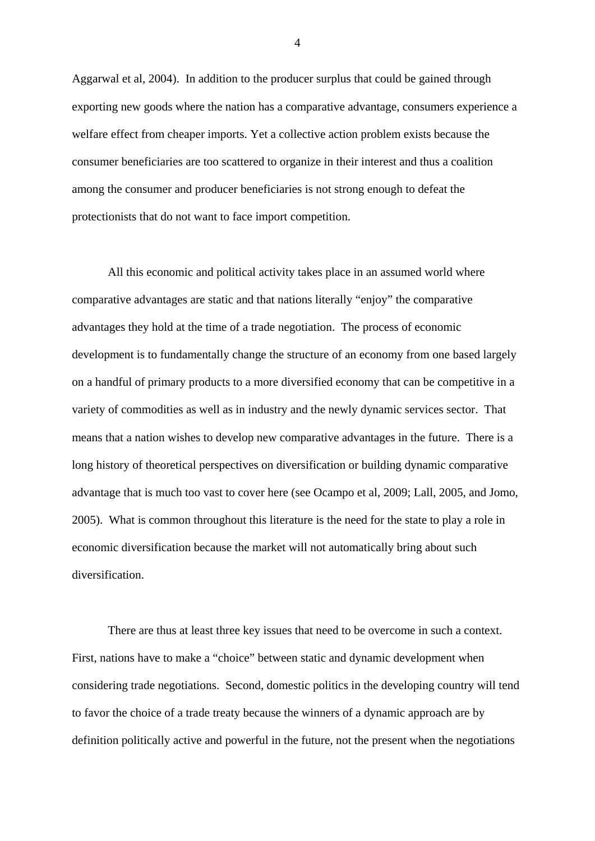Aggarwal et al, 2004). In addition to the producer surplus that could be gained through exporting new goods where the nation has a comparative advantage, consumers experience a welfare effect from cheaper imports. Yet a collective action problem exists because the consumer beneficiaries are too scattered to organize in their interest and thus a coalition among the consumer and producer beneficiaries is not strong enough to defeat the protectionists that do not want to face import competition.

 All this economic and political activity takes place in an assumed world where comparative advantages are static and that nations literally "enjoy" the comparative advantages they hold at the time of a trade negotiation. The process of economic development is to fundamentally change the structure of an economy from one based largely on a handful of primary products to a more diversified economy that can be competitive in a variety of commodities as well as in industry and the newly dynamic services sector. That means that a nation wishes to develop new comparative advantages in the future. There is a long history of theoretical perspectives on diversification or building dynamic comparative advantage that is much too vast to cover here (see Ocampo et al, 2009; Lall, 2005, and Jomo, 2005). What is common throughout this literature is the need for the state to play a role in economic diversification because the market will not automatically bring about such diversification.

 There are thus at least three key issues that need to be overcome in such a context. First, nations have to make a "choice" between static and dynamic development when considering trade negotiations. Second, domestic politics in the developing country will tend to favor the choice of a trade treaty because the winners of a dynamic approach are by definition politically active and powerful in the future, not the present when the negotiations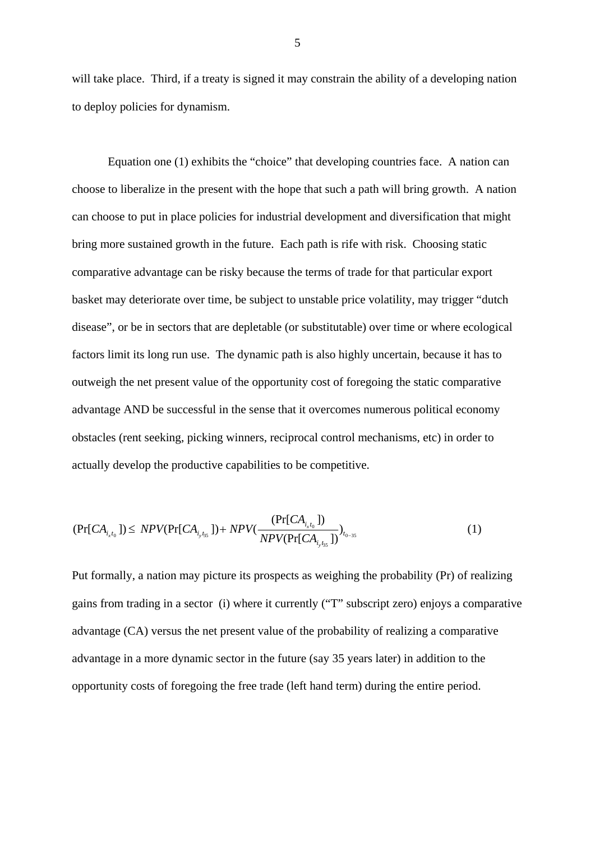will take place. Third, if a treaty is signed it may constrain the ability of a developing nation to deploy policies for dynamism.

 Equation one (1) exhibits the "choice" that developing countries face. A nation can choose to liberalize in the present with the hope that such a path will bring growth. A nation can choose to put in place policies for industrial development and diversification that might bring more sustained growth in the future. Each path is rife with risk. Choosing static comparative advantage can be risky because the terms of trade for that particular export basket may deteriorate over time, be subject to unstable price volatility, may trigger "dutch disease", or be in sectors that are depletable (or substitutable) over time or where ecological factors limit its long run use. The dynamic path is also highly uncertain, because it has to outweigh the net present value of the opportunity cost of foregoing the static comparative advantage AND be successful in the sense that it overcomes numerous political economy obstacles (rent seeking, picking winners, reciprocal control mechanisms, etc) in order to actually develop the productive capabilities to be competitive.

$$
(\Pr[CA_{i_xt_0}]) \le NPV(\Pr[CA_{i_yt_{55}}]) + NPV(\frac{(\Pr[CA_{i_xt_0}])}{NPV(\Pr[CA_{i_yt_{55}}])})_{t_{0-35}})
$$
\n(1)

Put formally, a nation may picture its prospects as weighing the probability (Pr) of realizing gains from trading in a sector (i) where it currently ("T" subscript zero) enjoys a comparative advantage (CA) versus the net present value of the probability of realizing a comparative advantage in a more dynamic sector in the future (say 35 years later) in addition to the opportunity costs of foregoing the free trade (left hand term) during the entire period.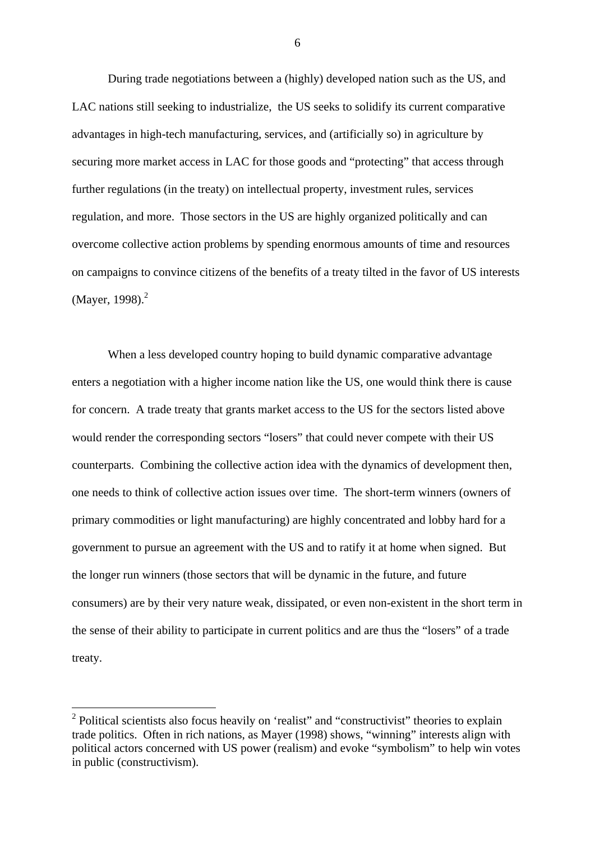During trade negotiations between a (highly) developed nation such as the US, and LAC nations still seeking to industrialize, the US seeks to solidify its current comparative advantages in high-tech manufacturing, services, and (artificially so) in agriculture by securing more market access in LAC for those goods and "protecting" that access through further regulations (in the treaty) on intellectual property, investment rules, services regulation, and more. Those sectors in the US are highly organized politically and can overcome collective action problems by spending enormous amounts of time and resources on campaigns to convince citizens of the benefits of a treaty tilted in the favor of US interests (Mayer, 1998).<sup>2</sup>

 When a less developed country hoping to build dynamic comparative advantage enters a negotiation with a higher income nation like the US, one would think there is cause for concern. A trade treaty that grants market access to the US for the sectors listed above would render the corresponding sectors "losers" that could never compete with their US counterparts. Combining the collective action idea with the dynamics of development then, one needs to think of collective action issues over time. The short-term winners (owners of primary commodities or light manufacturing) are highly concentrated and lobby hard for a government to pursue an agreement with the US and to ratify it at home when signed. But the longer run winners (those sectors that will be dynamic in the future, and future consumers) are by their very nature weak, dissipated, or even non-existent in the short term in the sense of their ability to participate in current politics and are thus the "losers" of a trade treaty.

1

<sup>&</sup>lt;sup>2</sup> Political scientists also focus heavily on 'realist' and "constructivist" theories to explain trade politics. Often in rich nations, as Mayer (1998) shows, "winning" interests align with political actors concerned with US power (realism) and evoke "symbolism" to help win votes in public (constructivism).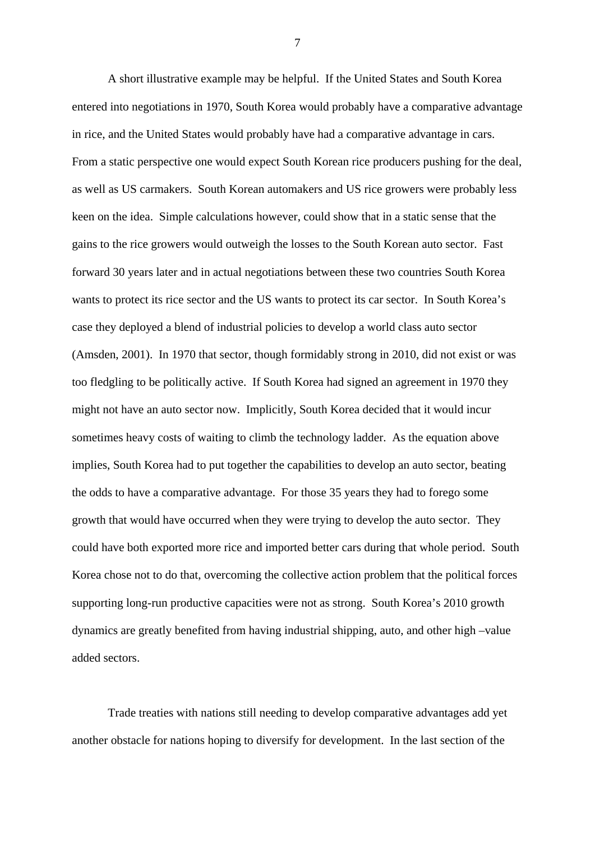A short illustrative example may be helpful. If the United States and South Korea entered into negotiations in 1970, South Korea would probably have a comparative advantage in rice, and the United States would probably have had a comparative advantage in cars. From a static perspective one would expect South Korean rice producers pushing for the deal, as well as US carmakers. South Korean automakers and US rice growers were probably less keen on the idea. Simple calculations however, could show that in a static sense that the gains to the rice growers would outweigh the losses to the South Korean auto sector. Fast forward 30 years later and in actual negotiations between these two countries South Korea wants to protect its rice sector and the US wants to protect its car sector. In South Korea's case they deployed a blend of industrial policies to develop a world class auto sector (Amsden, 2001). In 1970 that sector, though formidably strong in 2010, did not exist or was too fledgling to be politically active. If South Korea had signed an agreement in 1970 they might not have an auto sector now. Implicitly, South Korea decided that it would incur sometimes heavy costs of waiting to climb the technology ladder. As the equation above implies, South Korea had to put together the capabilities to develop an auto sector, beating the odds to have a comparative advantage. For those 35 years they had to forego some growth that would have occurred when they were trying to develop the auto sector. They could have both exported more rice and imported better cars during that whole period. South Korea chose not to do that, overcoming the collective action problem that the political forces supporting long-run productive capacities were not as strong. South Korea's 2010 growth dynamics are greatly benefited from having industrial shipping, auto, and other high –value added sectors.

 Trade treaties with nations still needing to develop comparative advantages add yet another obstacle for nations hoping to diversify for development. In the last section of the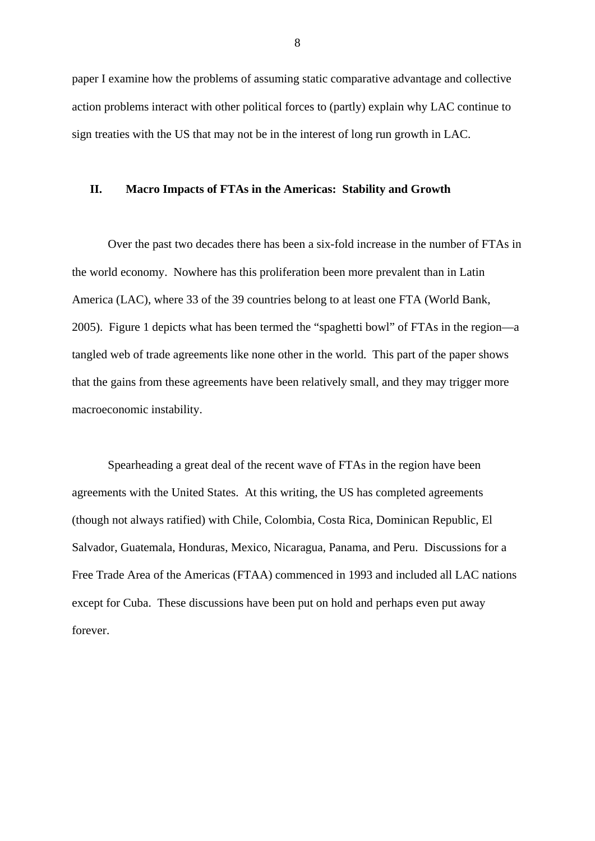paper I examine how the problems of assuming static comparative advantage and collective action problems interact with other political forces to (partly) explain why LAC continue to sign treaties with the US that may not be in the interest of long run growth in LAC.

# **II. Macro Impacts of FTAs in the Americas: Stability and Growth**

Over the past two decades there has been a six-fold increase in the number of FTAs in the world economy. Nowhere has this proliferation been more prevalent than in Latin America (LAC), where 33 of the 39 countries belong to at least one FTA (World Bank, 2005). Figure 1 depicts what has been termed the "spaghetti bowl" of FTAs in the region—a tangled web of trade agreements like none other in the world. This part of the paper shows that the gains from these agreements have been relatively small, and they may trigger more macroeconomic instability.

Spearheading a great deal of the recent wave of FTAs in the region have been agreements with the United States. At this writing, the US has completed agreements (though not always ratified) with Chile, Colombia, Costa Rica, Dominican Republic, El Salvador, Guatemala, Honduras, Mexico, Nicaragua, Panama, and Peru. Discussions for a Free Trade Area of the Americas (FTAA) commenced in 1993 and included all LAC nations except for Cuba. These discussions have been put on hold and perhaps even put away forever.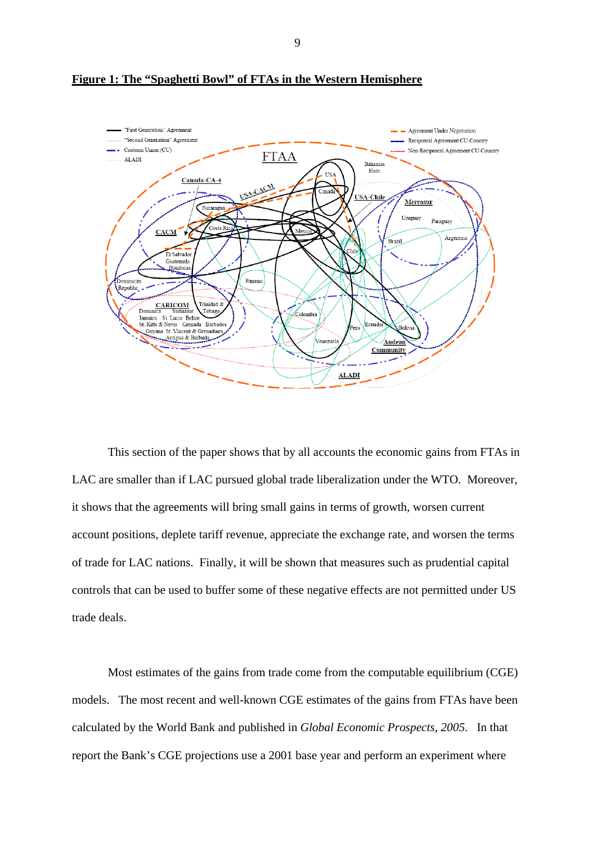

# **Figure 1: The "Spaghetti Bowl" of FTAs in the Western Hemisphere**

This section of the paper shows that by all accounts the economic gains from FTAs in LAC are smaller than if LAC pursued global trade liberalization under the WTO. Moreover, it shows that the agreements will bring small gains in terms of growth, worsen current account positions, deplete tariff revenue, appreciate the exchange rate, and worsen the terms of trade for LAC nations. Finally, it will be shown that measures such as prudential capital controls that can be used to buffer some of these negative effects are not permitted under US trade deals.

Most estimates of the gains from trade come from the computable equilibrium (CGE) models. The most recent and well-known CGE estimates of the gains from FTAs have been calculated by the World Bank and published in *Global Economic Prospects, 2005*. In that report the Bank's CGE projections use a 2001 base year and perform an experiment where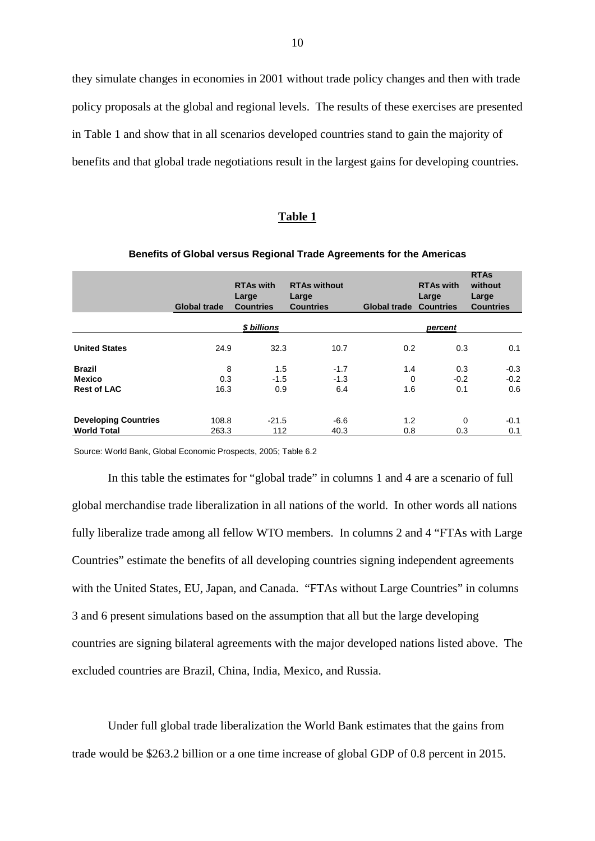they simulate changes in economies in 2001 without trade policy changes and then with trade policy proposals at the global and regional levels. The results of these exercises are presented in Table 1 and show that in all scenarios developed countries stand to gain the majority of benefits and that global trade negotiations result in the largest gains for developing countries.

# **Table 1**

|                                                   | <b>Global trade</b> | <b>RTAs with</b><br>Large<br><b>Countries</b> | <b>RTAs without</b><br>Large<br><b>Countries</b> | Global trade | <b>RTAs with</b><br>Large<br><b>Countries</b> | <b>RTAs</b><br>without<br>Large<br><b>Countries</b> |
|---------------------------------------------------|---------------------|-----------------------------------------------|--------------------------------------------------|--------------|-----------------------------------------------|-----------------------------------------------------|
|                                                   | \$ billions         |                                               |                                                  |              | percent                                       |                                                     |
| <b>United States</b>                              | 24.9                | 32.3                                          | 10.7                                             | 0.2          | 0.3                                           | 0.1                                                 |
| <b>Brazil</b>                                     | 8                   | 1.5                                           | $-1.7$                                           | 1.4          | 0.3                                           | $-0.3$                                              |
| <b>Mexico</b><br><b>Rest of LAC</b>               | 0.3<br>16.3         | $-1.5$<br>0.9                                 | $-1.3$<br>6.4                                    | 0<br>1.6     | $-0.2$<br>0.1                                 | $-0.2$<br>0.6                                       |
| <b>Developing Countries</b><br><b>World Total</b> | 108.8<br>263.3      | $-21.5$<br>112                                | $-6.6$<br>40.3                                   | 1.2<br>0.8   | 0<br>0.3                                      | $-0.1$<br>0.1                                       |

#### **Benefits of Global versus Regional Trade Agreements for the Americas**

Source: World Bank, Global Economic Prospects, 2005; Table 6.2

 In this table the estimates for "global trade" in columns 1 and 4 are a scenario of full global merchandise trade liberalization in all nations of the world. In other words all nations fully liberalize trade among all fellow WTO members. In columns 2 and 4 "FTAs with Large Countries" estimate the benefits of all developing countries signing independent agreements with the United States, EU, Japan, and Canada. "FTAs without Large Countries" in columns 3 and 6 present simulations based on the assumption that all but the large developing countries are signing bilateral agreements with the major developed nations listed above. The excluded countries are Brazil, China, India, Mexico, and Russia.

 Under full global trade liberalization the World Bank estimates that the gains from trade would be \$263.2 billion or a one time increase of global GDP of 0.8 percent in 2015.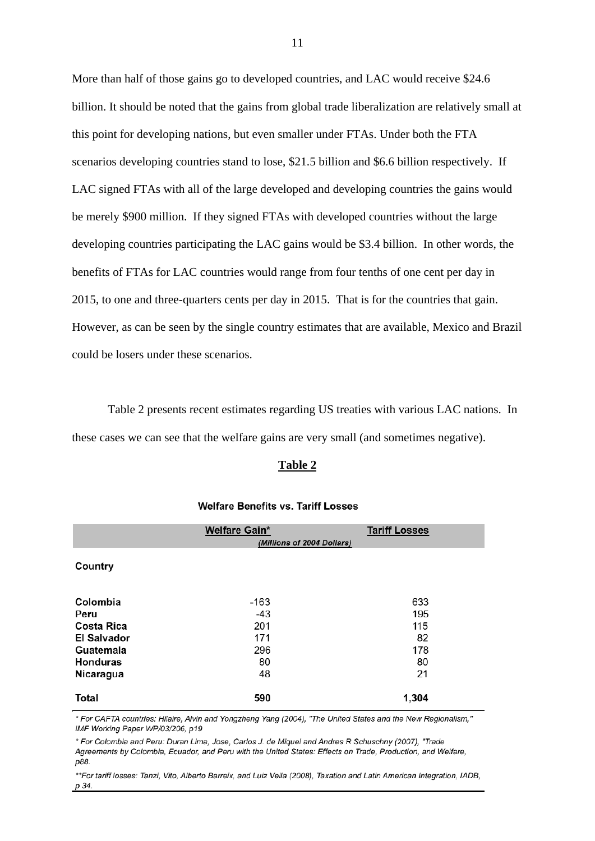More than half of those gains go to developed countries, and LAC would receive \$24.6 billion. It should be noted that the gains from global trade liberalization are relatively small at this point for developing nations, but even smaller under FTAs. Under both the FTA scenarios developing countries stand to lose, \$21.5 billion and \$6.6 billion respectively. If LAC signed FTAs with all of the large developed and developing countries the gains would be merely \$900 million. If they signed FTAs with developed countries without the large developing countries participating the LAC gains would be \$3.4 billion. In other words, the benefits of FTAs for LAC countries would range from four tenths of one cent per day in 2015, to one and three-quarters cents per day in 2015. That is for the countries that gain. However, as can be seen by the single country estimates that are available, Mexico and Brazil could be losers under these scenarios.

 Table 2 presents recent estimates regarding US treaties with various LAC nations. In these cases we can see that the welfare gains are very small (and sometimes negative).

# **Table 2**

|                    | <b>Welfare Gain*</b>       | <b>Tariff Losses</b> |
|--------------------|----------------------------|----------------------|
|                    | (Millions of 2004 Dollars) |                      |
|                    |                            |                      |
| Country            |                            |                      |
|                    |                            |                      |
|                    |                            |                      |
| Colombia           | $-163$                     | 633                  |
| Peru               | -43                        | 195                  |
| Costa Rica         | 201                        | 115                  |
| <b>El Salvador</b> | 171                        | 82                   |
| Guatemala          | 296                        | 178                  |
| <b>Honduras</b>    | 80                         | 80                   |
| Nicaragua          | 48                         | 21                   |
| Total              | 590                        | 1,304                |

### **Welfare Benefits vs. Tariff Losses**

\* For CAFTA countries: Hilaire, Alvin and Yongzheng Yang (2004), "The United States and the New Regionalism," IMF Working Paper WP/03/206, p19

\* For Colombia and Peru: Duran Lima, Jose, Carlos J. de Miquel and Andres R Schuschny (2007), "Trade Agreements by Colombia, Ecuador, and Peru with the United States: Effects on Trade, Production, and Welfare, p88.

\*\*For tariff losses: Tanzi, Vito, Alberto Barreix, and Luiz Vella (2008), Taxation and Latin American Integration, IADB, p 34.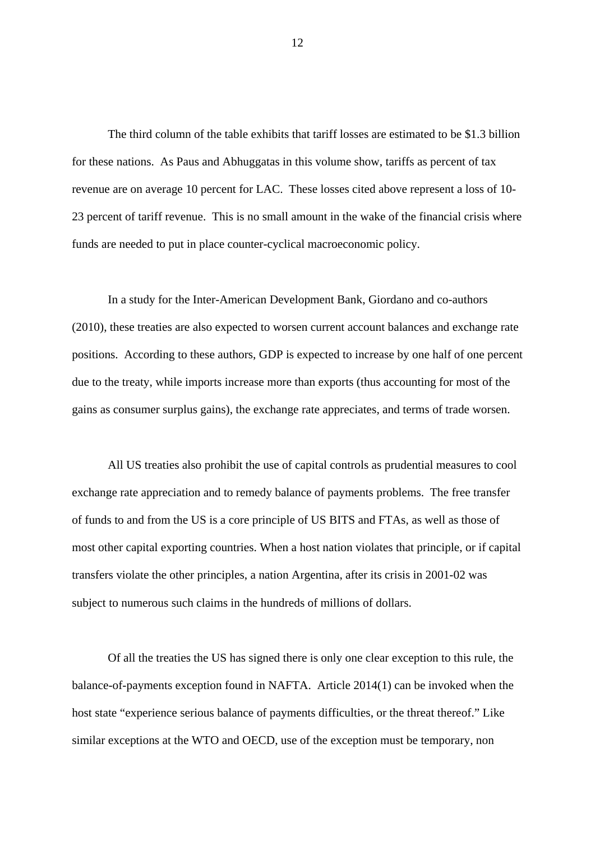The third column of the table exhibits that tariff losses are estimated to be \$1.3 billion for these nations. As Paus and Abhuggatas in this volume show, tariffs as percent of tax revenue are on average 10 percent for LAC. These losses cited above represent a loss of 10- 23 percent of tariff revenue. This is no small amount in the wake of the financial crisis where funds are needed to put in place counter-cyclical macroeconomic policy.

 In a study for the Inter-American Development Bank, Giordano and co-authors (2010), these treaties are also expected to worsen current account balances and exchange rate positions. According to these authors, GDP is expected to increase by one half of one percent due to the treaty, while imports increase more than exports (thus accounting for most of the gains as consumer surplus gains), the exchange rate appreciates, and terms of trade worsen.

All US treaties also prohibit the use of capital controls as prudential measures to cool exchange rate appreciation and to remedy balance of payments problems. The free transfer of funds to and from the US is a core principle of US BITS and FTAs, as well as those of most other capital exporting countries. When a host nation violates that principle, or if capital transfers violate the other principles, a nation Argentina, after its crisis in 2001-02 was subject to numerous such claims in the hundreds of millions of dollars.

Of all the treaties the US has signed there is only one clear exception to this rule, the balance-of-payments exception found in NAFTA. Article 2014(1) can be invoked when the host state "experience serious balance of payments difficulties, or the threat thereof." Like similar exceptions at the WTO and OECD, use of the exception must be temporary, non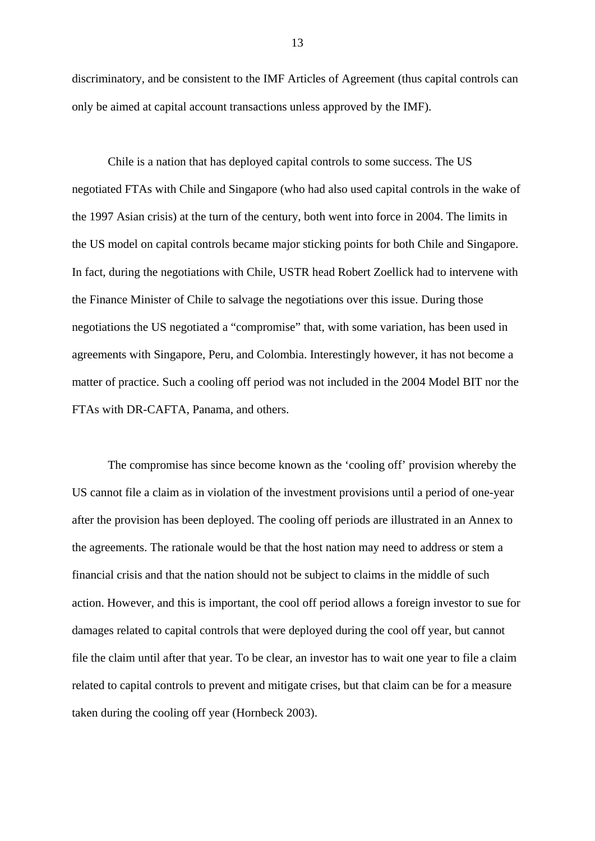discriminatory, and be consistent to the IMF Articles of Agreement (thus capital controls can only be aimed at capital account transactions unless approved by the IMF).

Chile is a nation that has deployed capital controls to some success. The US negotiated FTAs with Chile and Singapore (who had also used capital controls in the wake of the 1997 Asian crisis) at the turn of the century, both went into force in 2004. The limits in the US model on capital controls became major sticking points for both Chile and Singapore. In fact, during the negotiations with Chile, USTR head Robert Zoellick had to intervene with the Finance Minister of Chile to salvage the negotiations over this issue. During those negotiations the US negotiated a "compromise" that, with some variation, has been used in agreements with Singapore, Peru, and Colombia. Interestingly however, it has not become a matter of practice. Such a cooling off period was not included in the 2004 Model BIT nor the FTAs with DR-CAFTA, Panama, and others.

The compromise has since become known as the 'cooling off' provision whereby the US cannot file a claim as in violation of the investment provisions until a period of one-year after the provision has been deployed. The cooling off periods are illustrated in an Annex to the agreements. The rationale would be that the host nation may need to address or stem a financial crisis and that the nation should not be subject to claims in the middle of such action. However, and this is important, the cool off period allows a foreign investor to sue for damages related to capital controls that were deployed during the cool off year, but cannot file the claim until after that year. To be clear, an investor has to wait one year to file a claim related to capital controls to prevent and mitigate crises, but that claim can be for a measure taken during the cooling off year (Hornbeck 2003).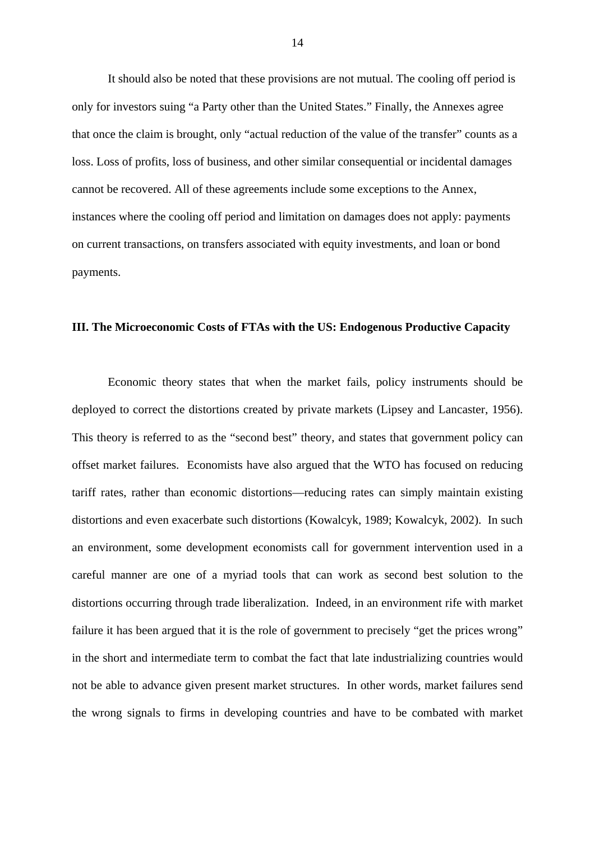It should also be noted that these provisions are not mutual. The cooling off period is only for investors suing "a Party other than the United States." Finally, the Annexes agree that once the claim is brought, only "actual reduction of the value of the transfer" counts as a loss. Loss of profits, loss of business, and other similar consequential or incidental damages cannot be recovered. All of these agreements include some exceptions to the Annex, instances where the cooling off period and limitation on damages does not apply: payments on current transactions, on transfers associated with equity investments, and loan or bond payments.

# **III. The Microeconomic Costs of FTAs with the US: Endogenous Productive Capacity**

Economic theory states that when the market fails, policy instruments should be deployed to correct the distortions created by private markets (Lipsey and Lancaster, 1956). This theory is referred to as the "second best" theory, and states that government policy can offset market failures. Economists have also argued that the WTO has focused on reducing tariff rates, rather than economic distortions—reducing rates can simply maintain existing distortions and even exacerbate such distortions (Kowalcyk, 1989; Kowalcyk, 2002). In such an environment, some development economists call for government intervention used in a careful manner are one of a myriad tools that can work as second best solution to the distortions occurring through trade liberalization. Indeed, in an environment rife with market failure it has been argued that it is the role of government to precisely "get the prices wrong" in the short and intermediate term to combat the fact that late industrializing countries would not be able to advance given present market structures. In other words, market failures send the wrong signals to firms in developing countries and have to be combated with market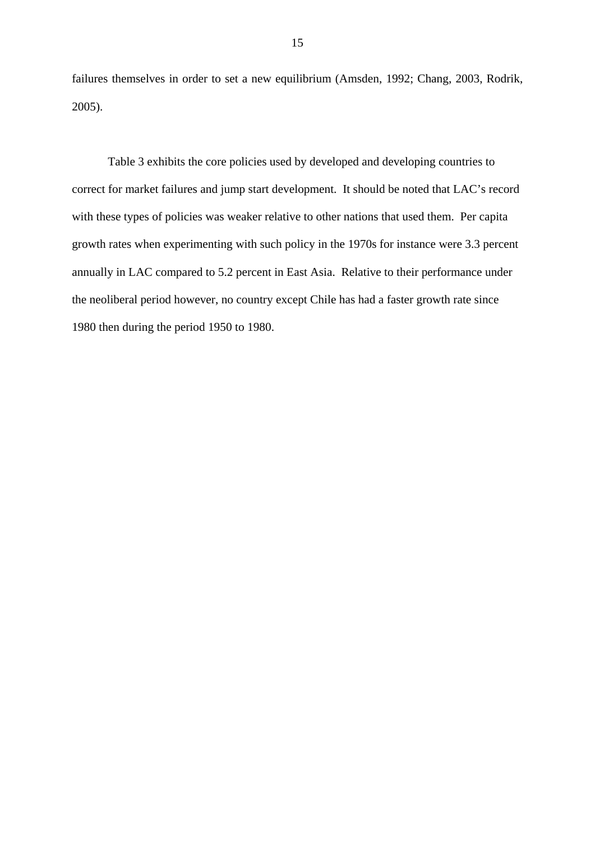failures themselves in order to set a new equilibrium (Amsden, 1992; Chang, 2003, Rodrik, 2005).

 Table 3 exhibits the core policies used by developed and developing countries to correct for market failures and jump start development. It should be noted that LAC's record with these types of policies was weaker relative to other nations that used them. Per capita growth rates when experimenting with such policy in the 1970s for instance were 3.3 percent annually in LAC compared to 5.2 percent in East Asia. Relative to their performance under the neoliberal period however, no country except Chile has had a faster growth rate since 1980 then during the period 1950 to 1980.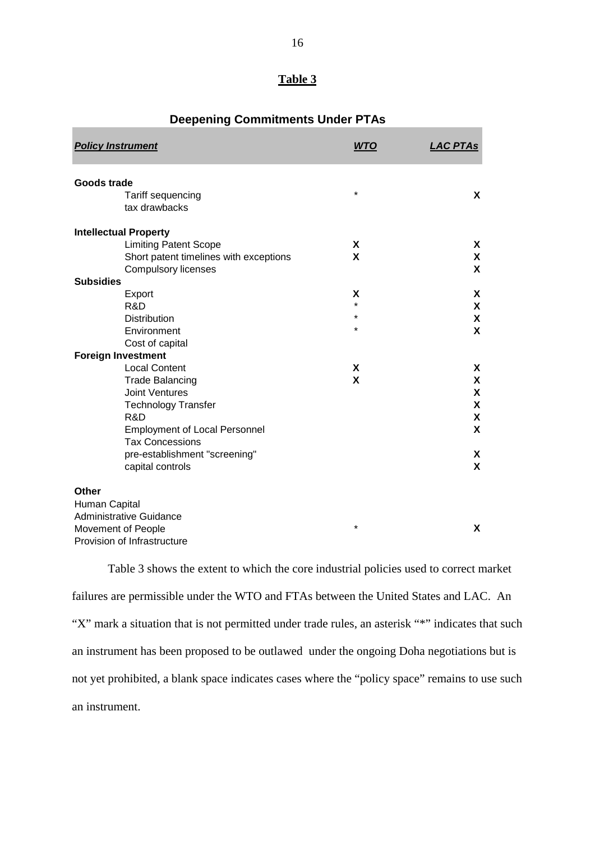# **Table 3**

|  | <b>Deepening Commitments Under PTAs</b> |  |  |
|--|-----------------------------------------|--|--|
|--|-----------------------------------------|--|--|

| <b>Policy Instrument</b>                                       | <b>WTO</b> | <b>LAC PTAS</b> |
|----------------------------------------------------------------|------------|-----------------|
| Goods trade                                                    |            |                 |
| Tariff sequencing                                              | $\star$    | X.              |
| tax drawbacks                                                  |            |                 |
| <b>Intellectual Property</b>                                   |            |                 |
| <b>Limiting Patent Scope</b>                                   | X          | X               |
| Short patent timelines with exceptions                         | X          | X               |
| <b>Compulsory licenses</b>                                     |            | X               |
| <b>Subsidies</b>                                               |            |                 |
| Export                                                         | X          | X               |
| R&D                                                            | $\star$    | X               |
| <b>Distribution</b>                                            | $\star$    | X               |
| Environment                                                    | $\star$    | X               |
| Cost of capital                                                |            |                 |
| <b>Foreign Investment</b>                                      |            |                 |
| <b>Local Content</b>                                           | X          | X               |
| <b>Trade Balancing</b>                                         | X          | X               |
| <b>Joint Ventures</b>                                          |            | X               |
| <b>Technology Transfer</b>                                     |            | X               |
| R&D                                                            |            | X               |
| <b>Employment of Local Personnel</b><br><b>Tax Concessions</b> |            | X               |
|                                                                |            |                 |
| pre-establishment "screening"                                  |            | X<br>X          |
| capital controls                                               |            |                 |
| <b>Other</b>                                                   |            |                 |
| Human Capital                                                  |            |                 |
| Administrative Guidance                                        |            |                 |
| Movement of People                                             | $\star$    | X               |
| Provision of Infrastructure                                    |            |                 |

 Table 3 shows the extent to which the core industrial policies used to correct market failures are permissible under the WTO and FTAs between the United States and LAC. An "X" mark a situation that is not permitted under trade rules, an asterisk "\*" indicates that such an instrument has been proposed to be outlawed under the ongoing Doha negotiations but is not yet prohibited, a blank space indicates cases where the "policy space" remains to use such an instrument.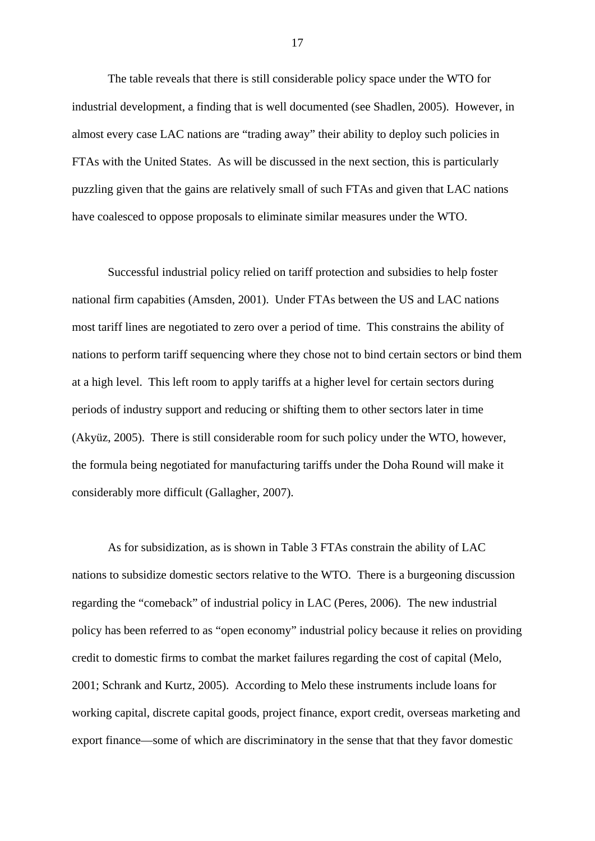The table reveals that there is still considerable policy space under the WTO for industrial development, a finding that is well documented (see Shadlen, 2005). However, in almost every case LAC nations are "trading away" their ability to deploy such policies in FTAs with the United States. As will be discussed in the next section, this is particularly puzzling given that the gains are relatively small of such FTAs and given that LAC nations have coalesced to oppose proposals to eliminate similar measures under the WTO.

 Successful industrial policy relied on tariff protection and subsidies to help foster national firm capabities (Amsden, 2001). Under FTAs between the US and LAC nations most tariff lines are negotiated to zero over a period of time. This constrains the ability of nations to perform tariff sequencing where they chose not to bind certain sectors or bind them at a high level. This left room to apply tariffs at a higher level for certain sectors during periods of industry support and reducing or shifting them to other sectors later in time (Akyüz, 2005). There is still considerable room for such policy under the WTO, however, the formula being negotiated for manufacturing tariffs under the Doha Round will make it considerably more difficult (Gallagher, 2007).

As for subsidization, as is shown in Table 3 FTAs constrain the ability of LAC nations to subsidize domestic sectors relative to the WTO. There is a burgeoning discussion regarding the "comeback" of industrial policy in LAC (Peres, 2006). The new industrial policy has been referred to as "open economy" industrial policy because it relies on providing credit to domestic firms to combat the market failures regarding the cost of capital (Melo, 2001; Schrank and Kurtz, 2005). According to Melo these instruments include loans for working capital, discrete capital goods, project finance, export credit, overseas marketing and export finance—some of which are discriminatory in the sense that that they favor domestic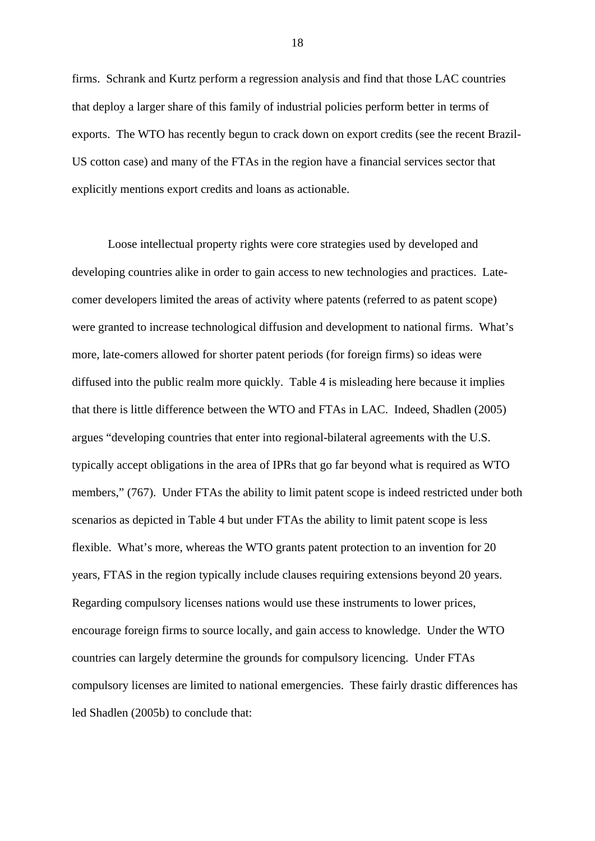firms. Schrank and Kurtz perform a regression analysis and find that those LAC countries that deploy a larger share of this family of industrial policies perform better in terms of exports. The WTO has recently begun to crack down on export credits (see the recent Brazil-US cotton case) and many of the FTAs in the region have a financial services sector that explicitly mentions export credits and loans as actionable.

 Loose intellectual property rights were core strategies used by developed and developing countries alike in order to gain access to new technologies and practices. Latecomer developers limited the areas of activity where patents (referred to as patent scope) were granted to increase technological diffusion and development to national firms. What's more, late-comers allowed for shorter patent periods (for foreign firms) so ideas were diffused into the public realm more quickly. Table 4 is misleading here because it implies that there is little difference between the WTO and FTAs in LAC. Indeed, Shadlen (2005) argues "developing countries that enter into regional-bilateral agreements with the U.S. typically accept obligations in the area of IPRs that go far beyond what is required as WTO members," (767). Under FTAs the ability to limit patent scope is indeed restricted under both scenarios as depicted in Table 4 but under FTAs the ability to limit patent scope is less flexible. What's more, whereas the WTO grants patent protection to an invention for 20 years, FTAS in the region typically include clauses requiring extensions beyond 20 years. Regarding compulsory licenses nations would use these instruments to lower prices, encourage foreign firms to source locally, and gain access to knowledge. Under the WTO countries can largely determine the grounds for compulsory licencing. Under FTAs compulsory licenses are limited to national emergencies. These fairly drastic differences has led Shadlen (2005b) to conclude that: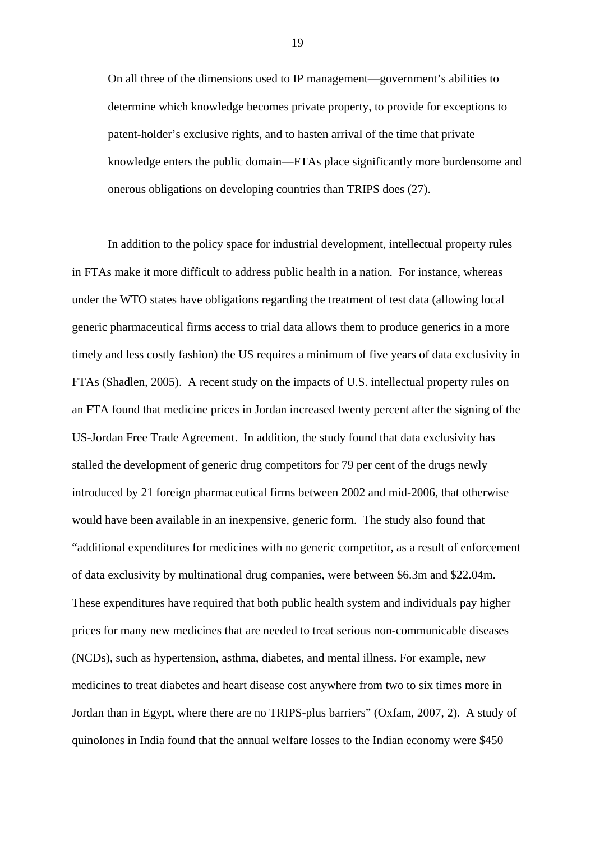On all three of the dimensions used to IP management—government's abilities to determine which knowledge becomes private property, to provide for exceptions to patent-holder's exclusive rights, and to hasten arrival of the time that private knowledge enters the public domain—FTAs place significantly more burdensome and onerous obligations on developing countries than TRIPS does (27).

In addition to the policy space for industrial development, intellectual property rules in FTAs make it more difficult to address public health in a nation. For instance, whereas under the WTO states have obligations regarding the treatment of test data (allowing local generic pharmaceutical firms access to trial data allows them to produce generics in a more timely and less costly fashion) the US requires a minimum of five years of data exclusivity in FTAs (Shadlen, 2005). A recent study on the impacts of U.S. intellectual property rules on an FTA found that medicine prices in Jordan increased twenty percent after the signing of the US-Jordan Free Trade Agreement. In addition, the study found that data exclusivity has stalled the development of generic drug competitors for 79 per cent of the drugs newly introduced by 21 foreign pharmaceutical firms between 2002 and mid-2006, that otherwise would have been available in an inexpensive, generic form. The study also found that "additional expenditures for medicines with no generic competitor, as a result of enforcement of data exclusivity by multinational drug companies, were between \$6.3m and \$22.04m. These expenditures have required that both public health system and individuals pay higher prices for many new medicines that are needed to treat serious non-communicable diseases (NCDs), such as hypertension, asthma, diabetes, and mental illness. For example, new medicines to treat diabetes and heart disease cost anywhere from two to six times more in Jordan than in Egypt, where there are no TRIPS-plus barriers" (Oxfam, 2007, 2). A study of quinolones in India found that the annual welfare losses to the Indian economy were \$450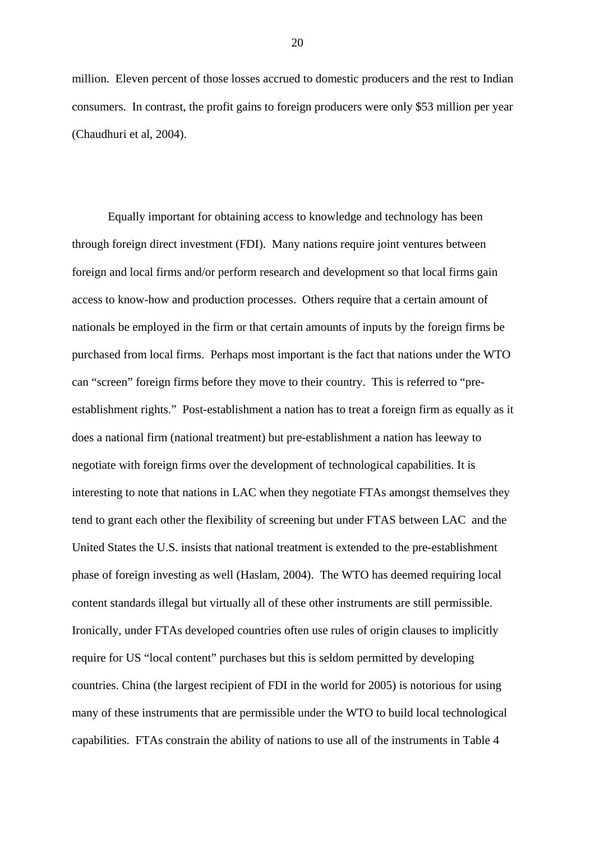million. Eleven percent of those losses accrued to domestic producers and the rest to Indian consumers. In contrast, the profit gains to foreign producers were only \$53 million per year (Chaudhuri et al, 2004).

 Equally important for obtaining access to knowledge and technology has been through foreign direct investment (FDI). Many nations require joint ventures between foreign and local firms and/or perform research and development so that local firms gain access to know-how and production processes. Others require that a certain amount of nationals be employed in the firm or that certain amounts of inputs by the foreign firms be purchased from local firms. Perhaps most important is the fact that nations under the WTO can "screen" foreign firms before they move to their country. This is referred to "preestablishment rights." Post-establishment a nation has to treat a foreign firm as equally as it does a national firm (national treatment) but pre-establishment a nation has leeway to negotiate with foreign firms over the development of technological capabilities. It is interesting to note that nations in LAC when they negotiate FTAs amongst themselves they tend to grant each other the flexibility of screening but under FTAS between LAC and the United States the U.S. insists that national treatment is extended to the pre-establishment phase of foreign investing as well (Haslam, 2004). The WTO has deemed requiring local content standards illegal but virtually all of these other instruments are still permissible. Ironically, under FTAs developed countries often use rules of origin clauses to implicitly require for US "local content" purchases but this is seldom permitted by developing countries. China (the largest recipient of FDI in the world for 2005) is notorious for using many of these instruments that are permissible under the WTO to build local technological capabilities. FTAs constrain the ability of nations to use all of the instruments in Table 4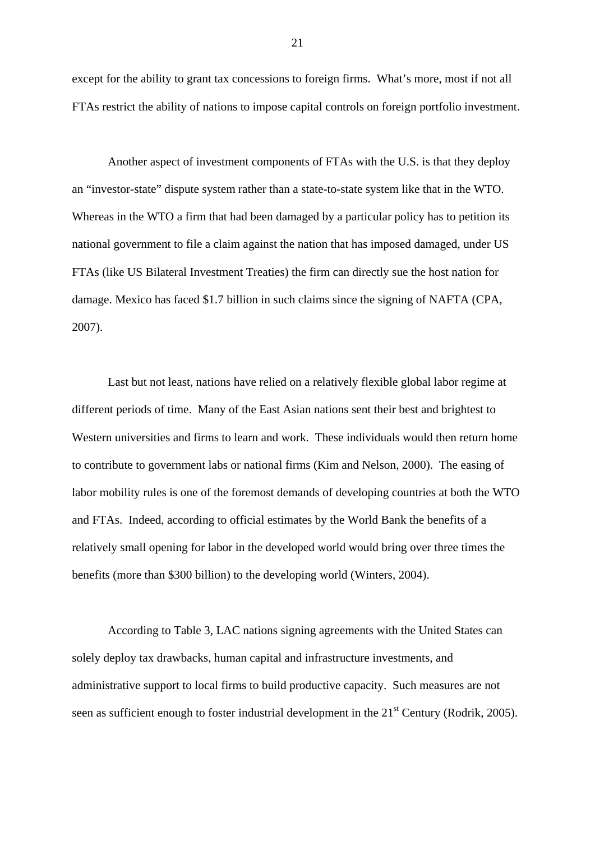except for the ability to grant tax concessions to foreign firms. What's more, most if not all FTAs restrict the ability of nations to impose capital controls on foreign portfolio investment.

 Another aspect of investment components of FTAs with the U.S. is that they deploy an "investor-state" dispute system rather than a state-to-state system like that in the WTO. Whereas in the WTO a firm that had been damaged by a particular policy has to petition its national government to file a claim against the nation that has imposed damaged, under US FTAs (like US Bilateral Investment Treaties) the firm can directly sue the host nation for damage. Mexico has faced \$1.7 billion in such claims since the signing of NAFTA (CPA, 2007).

 Last but not least, nations have relied on a relatively flexible global labor regime at different periods of time. Many of the East Asian nations sent their best and brightest to Western universities and firms to learn and work. These individuals would then return home to contribute to government labs or national firms (Kim and Nelson, 2000). The easing of labor mobility rules is one of the foremost demands of developing countries at both the WTO and FTAs. Indeed, according to official estimates by the World Bank the benefits of a relatively small opening for labor in the developed world would bring over three times the benefits (more than \$300 billion) to the developing world (Winters, 2004).

According to Table 3, LAC nations signing agreements with the United States can solely deploy tax drawbacks, human capital and infrastructure investments, and administrative support to local firms to build productive capacity. Such measures are not seen as sufficient enough to foster industrial development in the  $21<sup>st</sup>$  Century (Rodrik, 2005).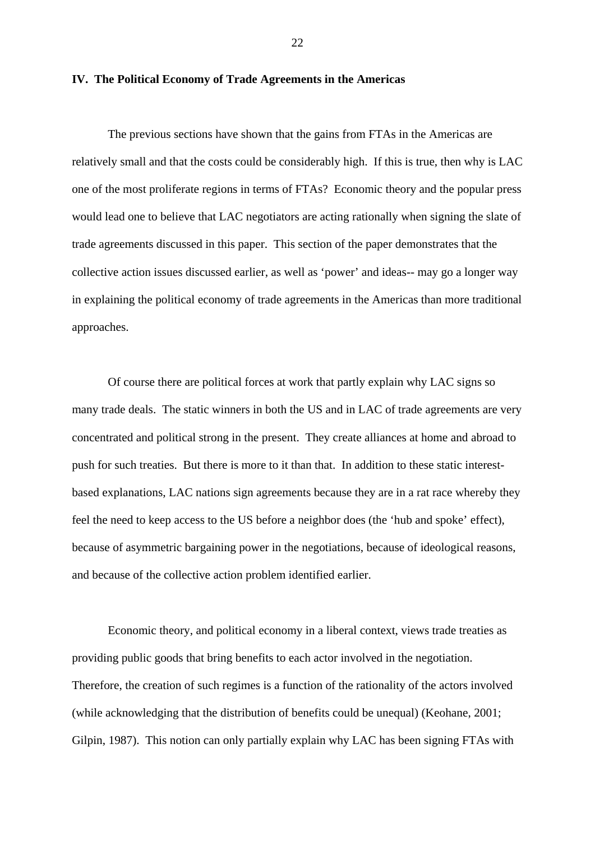# **IV. The Political Economy of Trade Agreements in the Americas**

 The previous sections have shown that the gains from FTAs in the Americas are relatively small and that the costs could be considerably high. If this is true, then why is LAC one of the most proliferate regions in terms of FTAs? Economic theory and the popular press would lead one to believe that LAC negotiators are acting rationally when signing the slate of trade agreements discussed in this paper. This section of the paper demonstrates that the collective action issues discussed earlier, as well as 'power' and ideas-- may go a longer way in explaining the political economy of trade agreements in the Americas than more traditional approaches.

 Of course there are political forces at work that partly explain why LAC signs so many trade deals. The static winners in both the US and in LAC of trade agreements are very concentrated and political strong in the present. They create alliances at home and abroad to push for such treaties. But there is more to it than that. In addition to these static interestbased explanations, LAC nations sign agreements because they are in a rat race whereby they feel the need to keep access to the US before a neighbor does (the 'hub and spoke' effect), because of asymmetric bargaining power in the negotiations, because of ideological reasons, and because of the collective action problem identified earlier.

 Economic theory, and political economy in a liberal context, views trade treaties as providing public goods that bring benefits to each actor involved in the negotiation. Therefore, the creation of such regimes is a function of the rationality of the actors involved (while acknowledging that the distribution of benefits could be unequal) (Keohane, 2001; Gilpin, 1987). This notion can only partially explain why LAC has been signing FTAs with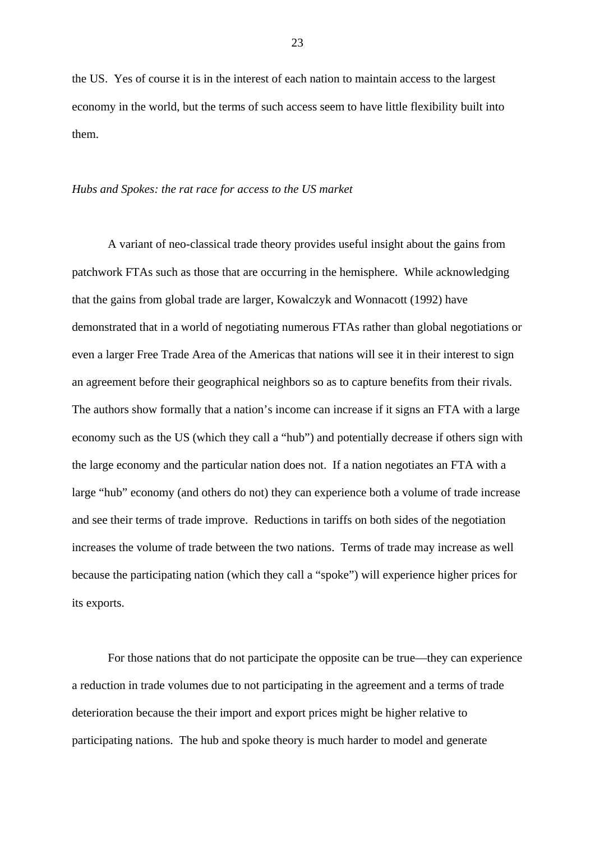the US. Yes of course it is in the interest of each nation to maintain access to the largest economy in the world, but the terms of such access seem to have little flexibility built into them.

# *Hubs and Spokes: the rat race for access to the US market*

A variant of neo-classical trade theory provides useful insight about the gains from patchwork FTAs such as those that are occurring in the hemisphere. While acknowledging that the gains from global trade are larger, Kowalczyk and Wonnacott (1992) have demonstrated that in a world of negotiating numerous FTAs rather than global negotiations or even a larger Free Trade Area of the Americas that nations will see it in their interest to sign an agreement before their geographical neighbors so as to capture benefits from their rivals. The authors show formally that a nation's income can increase if it signs an FTA with a large economy such as the US (which they call a "hub") and potentially decrease if others sign with the large economy and the particular nation does not. If a nation negotiates an FTA with a large "hub" economy (and others do not) they can experience both a volume of trade increase and see their terms of trade improve. Reductions in tariffs on both sides of the negotiation increases the volume of trade between the two nations. Terms of trade may increase as well because the participating nation (which they call a "spoke") will experience higher prices for its exports.

For those nations that do not participate the opposite can be true—they can experience a reduction in trade volumes due to not participating in the agreement and a terms of trade deterioration because the their import and export prices might be higher relative to participating nations. The hub and spoke theory is much harder to model and generate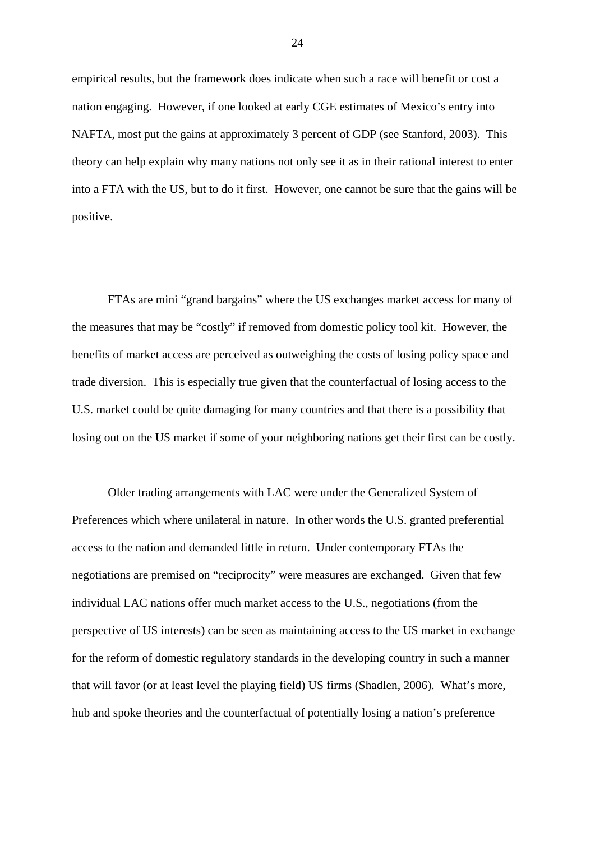empirical results, but the framework does indicate when such a race will benefit or cost a nation engaging. However, if one looked at early CGE estimates of Mexico's entry into NAFTA, most put the gains at approximately 3 percent of GDP (see Stanford, 2003). This theory can help explain why many nations not only see it as in their rational interest to enter into a FTA with the US, but to do it first. However, one cannot be sure that the gains will be positive.

 FTAs are mini "grand bargains" where the US exchanges market access for many of the measures that may be "costly" if removed from domestic policy tool kit. However, the benefits of market access are perceived as outweighing the costs of losing policy space and trade diversion. This is especially true given that the counterfactual of losing access to the U.S. market could be quite damaging for many countries and that there is a possibility that losing out on the US market if some of your neighboring nations get their first can be costly.

 Older trading arrangements with LAC were under the Generalized System of Preferences which where unilateral in nature. In other words the U.S. granted preferential access to the nation and demanded little in return. Under contemporary FTAs the negotiations are premised on "reciprocity" were measures are exchanged. Given that few individual LAC nations offer much market access to the U.S., negotiations (from the perspective of US interests) can be seen as maintaining access to the US market in exchange for the reform of domestic regulatory standards in the developing country in such a manner that will favor (or at least level the playing field) US firms (Shadlen, 2006). What's more, hub and spoke theories and the counterfactual of potentially losing a nation's preference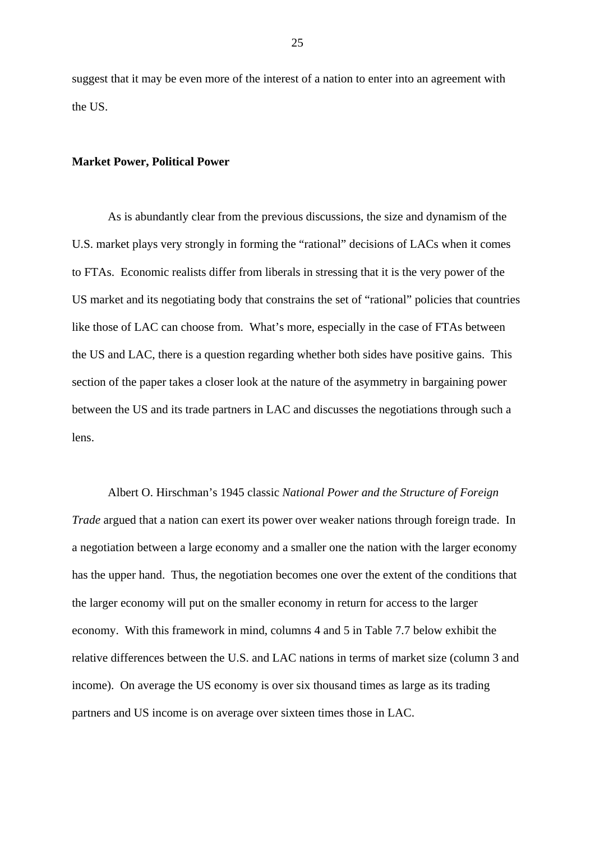suggest that it may be even more of the interest of a nation to enter into an agreement with the US.

# **Market Power, Political Power**

As is abundantly clear from the previous discussions, the size and dynamism of the U.S. market plays very strongly in forming the "rational" decisions of LACs when it comes to FTAs. Economic realists differ from liberals in stressing that it is the very power of the US market and its negotiating body that constrains the set of "rational" policies that countries like those of LAC can choose from. What's more, especially in the case of FTAs between the US and LAC, there is a question regarding whether both sides have positive gains. This section of the paper takes a closer look at the nature of the asymmetry in bargaining power between the US and its trade partners in LAC and discusses the negotiations through such a lens.

Albert O. Hirschman's 1945 classic *National Power and the Structure of Foreign Trade* argued that a nation can exert its power over weaker nations through foreign trade. In a negotiation between a large economy and a smaller one the nation with the larger economy has the upper hand. Thus, the negotiation becomes one over the extent of the conditions that the larger economy will put on the smaller economy in return for access to the larger economy. With this framework in mind, columns 4 and 5 in Table 7.7 below exhibit the relative differences between the U.S. and LAC nations in terms of market size (column 3 and income). On average the US economy is over six thousand times as large as its trading partners and US income is on average over sixteen times those in LAC.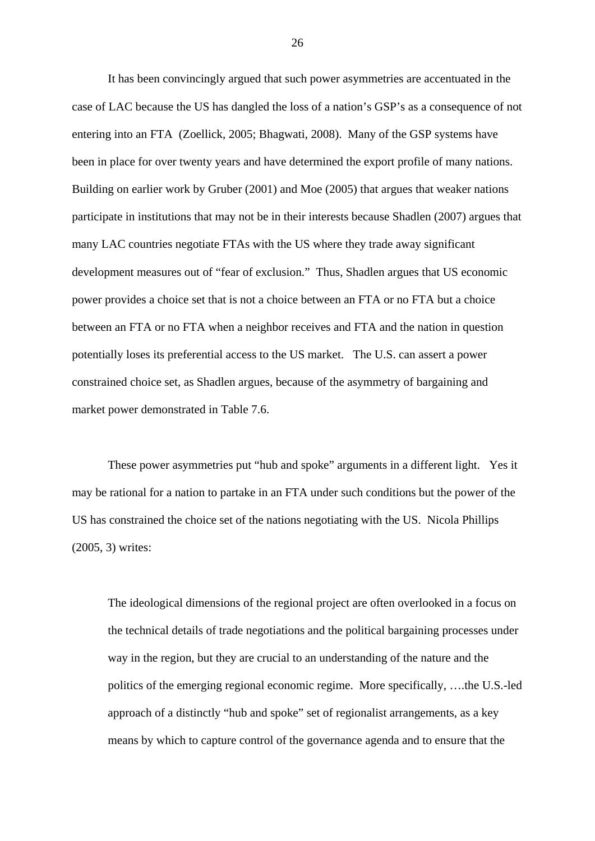It has been convincingly argued that such power asymmetries are accentuated in the case of LAC because the US has dangled the loss of a nation's GSP's as a consequence of not entering into an FTA (Zoellick, 2005; Bhagwati, 2008). Many of the GSP systems have been in place for over twenty years and have determined the export profile of many nations. Building on earlier work by Gruber (2001) and Moe (2005) that argues that weaker nations participate in institutions that may not be in their interests because Shadlen (2007) argues that many LAC countries negotiate FTAs with the US where they trade away significant development measures out of "fear of exclusion." Thus, Shadlen argues that US economic power provides a choice set that is not a choice between an FTA or no FTA but a choice between an FTA or no FTA when a neighbor receives and FTA and the nation in question potentially loses its preferential access to the US market. The U.S. can assert a power constrained choice set, as Shadlen argues, because of the asymmetry of bargaining and market power demonstrated in Table 7.6.

These power asymmetries put "hub and spoke" arguments in a different light. Yes it may be rational for a nation to partake in an FTA under such conditions but the power of the US has constrained the choice set of the nations negotiating with the US. Nicola Phillips (2005, 3) writes:

The ideological dimensions of the regional project are often overlooked in a focus on the technical details of trade negotiations and the political bargaining processes under way in the region, but they are crucial to an understanding of the nature and the politics of the emerging regional economic regime. More specifically, ….the U.S.-led approach of a distinctly "hub and spoke" set of regionalist arrangements, as a key means by which to capture control of the governance agenda and to ensure that the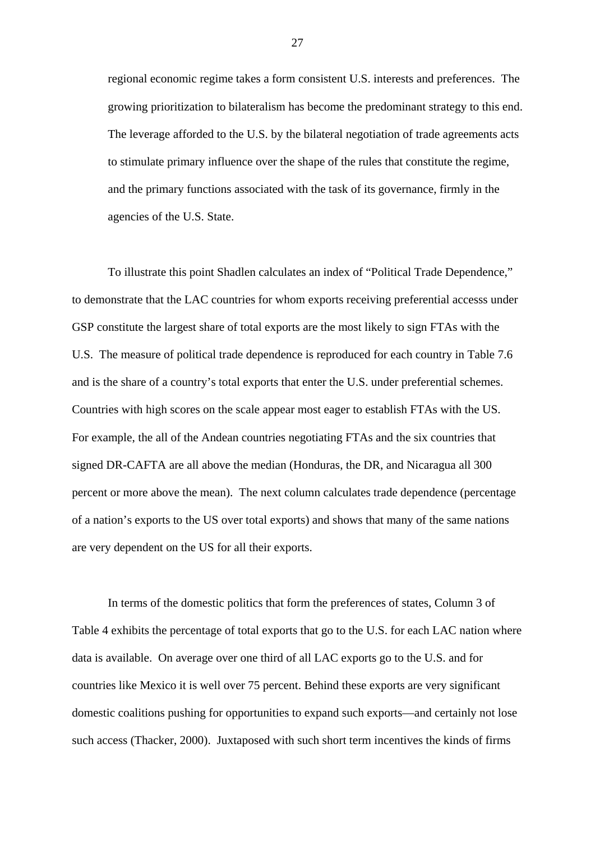regional economic regime takes a form consistent U.S. interests and preferences. The growing prioritization to bilateralism has become the predominant strategy to this end. The leverage afforded to the U.S. by the bilateral negotiation of trade agreements acts to stimulate primary influence over the shape of the rules that constitute the regime, and the primary functions associated with the task of its governance, firmly in the agencies of the U.S. State.

To illustrate this point Shadlen calculates an index of "Political Trade Dependence," to demonstrate that the LAC countries for whom exports receiving preferential accesss under GSP constitute the largest share of total exports are the most likely to sign FTAs with the U.S. The measure of political trade dependence is reproduced for each country in Table 7.6 and is the share of a country's total exports that enter the U.S. under preferential schemes. Countries with high scores on the scale appear most eager to establish FTAs with the US. For example, the all of the Andean countries negotiating FTAs and the six countries that signed DR-CAFTA are all above the median (Honduras, the DR, and Nicaragua all 300 percent or more above the mean). The next column calculates trade dependence (percentage of a nation's exports to the US over total exports) and shows that many of the same nations are very dependent on the US for all their exports.

 In terms of the domestic politics that form the preferences of states, Column 3 of Table 4 exhibits the percentage of total exports that go to the U.S. for each LAC nation where data is available. On average over one third of all LAC exports go to the U.S. and for countries like Mexico it is well over 75 percent. Behind these exports are very significant domestic coalitions pushing for opportunities to expand such exports—and certainly not lose such access (Thacker, 2000). Juxtaposed with such short term incentives the kinds of firms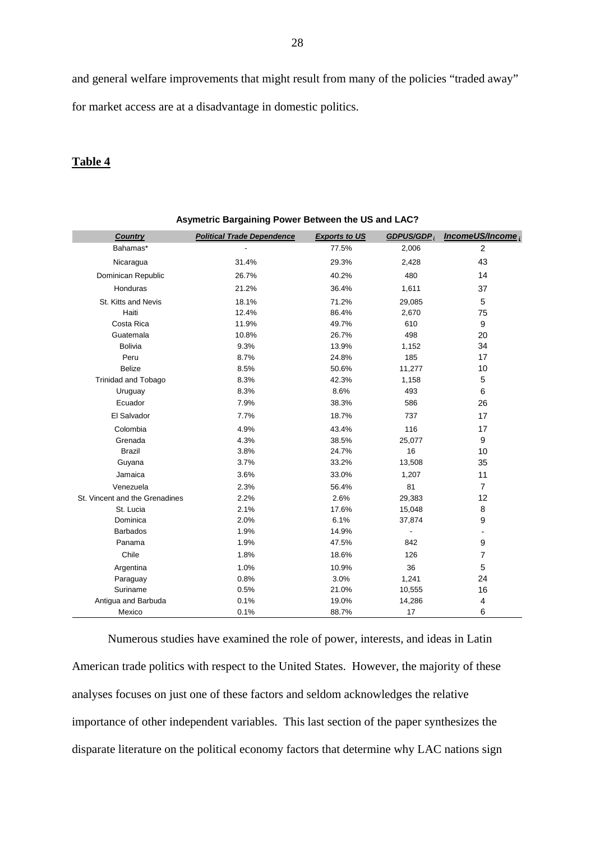and general welfare improvements that might result from many of the policies "traded away" for market access are at a disadvantage in domestic politics.

# **Table 4**

| <b>Country</b>                 | <b>Political Trade Dependence</b> | <b>Exports to US</b> | GDPUS/GDP; | IncomeUS/Income          |
|--------------------------------|-----------------------------------|----------------------|------------|--------------------------|
| Bahamas*                       |                                   | 77.5%                | 2,006      | 2                        |
| Nicaragua                      | 31.4%                             | 29.3%                | 2,428      | 43                       |
| Dominican Republic             | 26.7%                             | 40.2%                | 480        | 14                       |
| Honduras                       | 21.2%                             | 36.4%                | 1,611      | 37                       |
| St. Kitts and Nevis            | 18.1%                             | 71.2%                | 29,085     | 5                        |
| Haiti                          | 12.4%                             | 86.4%                | 2,670      | 75                       |
| Costa Rica                     | 11.9%                             | 49.7%                | 610        | 9                        |
| Guatemala                      | 10.8%                             | 26.7%                | 498        | 20                       |
| Bolivia                        | 9.3%                              | 13.9%                | 1,152      | 34                       |
| Peru                           | 8.7%                              | 24.8%                | 185        | 17                       |
| <b>Belize</b>                  | 8.5%                              | 50.6%                | 11,277     | 10                       |
| Trinidad and Tobago            | 8.3%                              | 42.3%                | 1,158      | 5                        |
| Uruguay                        | 8.3%                              | 8.6%                 | 493        | 6                        |
| Ecuador                        | 7.9%                              | 38.3%                | 586        | 26                       |
| El Salvador                    | 7.7%                              | 18.7%                | 737        | 17                       |
| Colombia                       | 4.9%                              | 43.4%                | 116        | 17                       |
| Grenada                        | 4.3%                              | 38.5%                | 25,077     | 9                        |
| <b>Brazil</b>                  | 3.8%                              | 24.7%                | 16         | 10                       |
| Guyana                         | 3.7%                              | 33.2%                | 13,508     | 35                       |
| Jamaica                        | 3.6%                              | 33.0%                | 1,207      | 11                       |
| Venezuela                      | 2.3%                              | 56.4%                | 81         | $\overline{7}$           |
| St. Vincent and the Grenadines | 2.2%                              | 2.6%                 | 29,383     | 12                       |
| St. Lucia                      | 2.1%                              | 17.6%                | 15,048     | 8                        |
| Dominica                       | 2.0%                              | 6.1%                 | 37,874     | 9                        |
| <b>Barbados</b>                | 1.9%                              | 14.9%                |            | $\overline{\phantom{a}}$ |
| Panama                         | 1.9%                              | 47.5%                | 842        | 9                        |
| Chile                          | 1.8%                              | 18.6%                | 126        | 7                        |
| Argentina                      | 1.0%                              | 10.9%                | 36         | 5                        |
| Paraguay                       | 0.8%                              | 3.0%                 | 1,241      | 24                       |
| Suriname                       | 0.5%                              | 21.0%                | 10,555     | 16                       |
| Antigua and Barbuda            | 0.1%                              | 19.0%                | 14,286     | 4                        |
| Mexico                         | 0.1%                              | 88.7%                | 17         | 6                        |

**Asymetric Bargaining Power Between the US and LAC?**

Numerous studies have examined the role of power, interests, and ideas in Latin American trade politics with respect to the United States. However, the majority of these analyses focuses on just one of these factors and seldom acknowledges the relative importance of other independent variables. This last section of the paper synthesizes the disparate literature on the political economy factors that determine why LAC nations sign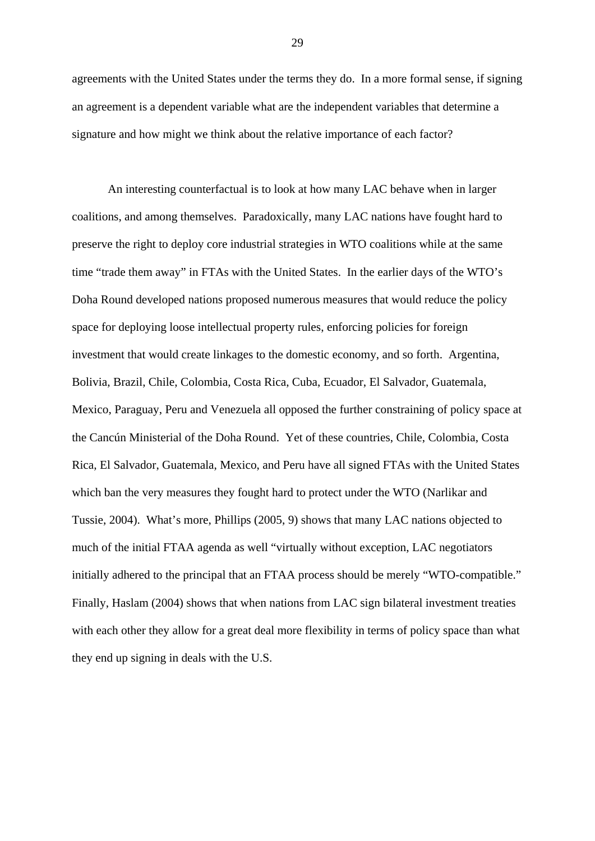agreements with the United States under the terms they do. In a more formal sense, if signing an agreement is a dependent variable what are the independent variables that determine a signature and how might we think about the relative importance of each factor?

An interesting counterfactual is to look at how many LAC behave when in larger coalitions, and among themselves. Paradoxically, many LAC nations have fought hard to preserve the right to deploy core industrial strategies in WTO coalitions while at the same time "trade them away" in FTAs with the United States. In the earlier days of the WTO's Doha Round developed nations proposed numerous measures that would reduce the policy space for deploying loose intellectual property rules, enforcing policies for foreign investment that would create linkages to the domestic economy, and so forth. Argentina, Bolivia, Brazil, Chile, Colombia, Costa Rica, Cuba, Ecuador, El Salvador, Guatemala, Mexico, Paraguay, Peru and Venezuela all opposed the further constraining of policy space at the Cancún Ministerial of the Doha Round. Yet of these countries, Chile, Colombia, Costa Rica, El Salvador, Guatemala, Mexico, and Peru have all signed FTAs with the United States which ban the very measures they fought hard to protect under the WTO (Narlikar and Tussie, 2004). What's more, Phillips (2005, 9) shows that many LAC nations objected to much of the initial FTAA agenda as well "virtually without exception, LAC negotiators initially adhered to the principal that an FTAA process should be merely "WTO-compatible." Finally, Haslam (2004) shows that when nations from LAC sign bilateral investment treaties with each other they allow for a great deal more flexibility in terms of policy space than what they end up signing in deals with the U.S.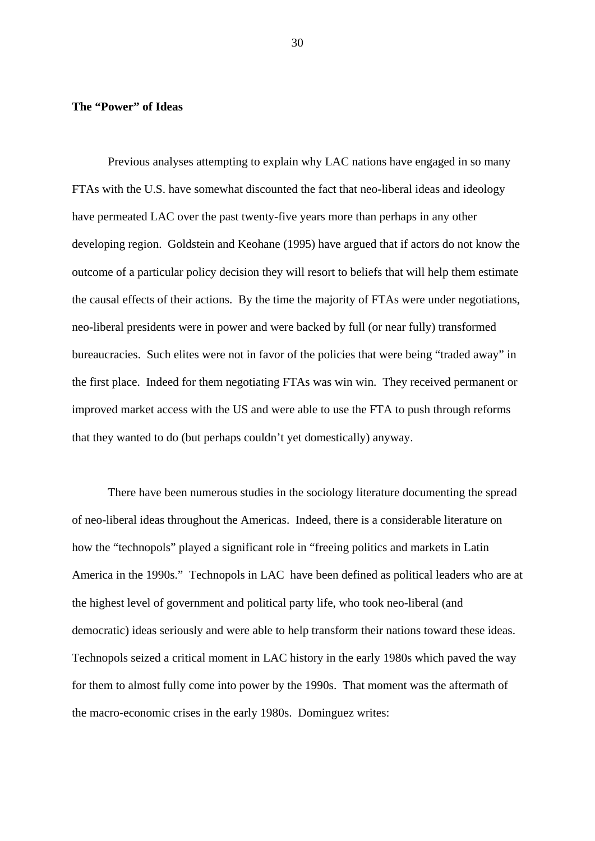# **The "Power" of Ideas**

Previous analyses attempting to explain why LAC nations have engaged in so many FTAs with the U.S. have somewhat discounted the fact that neo-liberal ideas and ideology have permeated LAC over the past twenty-five years more than perhaps in any other developing region. Goldstein and Keohane (1995) have argued that if actors do not know the outcome of a particular policy decision they will resort to beliefs that will help them estimate the causal effects of their actions. By the time the majority of FTAs were under negotiations, neo-liberal presidents were in power and were backed by full (or near fully) transformed bureaucracies. Such elites were not in favor of the policies that were being "traded away" in the first place. Indeed for them negotiating FTAs was win win. They received permanent or improved market access with the US and were able to use the FTA to push through reforms that they wanted to do (but perhaps couldn't yet domestically) anyway.

There have been numerous studies in the sociology literature documenting the spread of neo-liberal ideas throughout the Americas. Indeed, there is a considerable literature on how the "technopols" played a significant role in "freeing politics and markets in Latin America in the 1990s." Technopols in LAC have been defined as political leaders who are at the highest level of government and political party life, who took neo-liberal (and democratic) ideas seriously and were able to help transform their nations toward these ideas. Technopols seized a critical moment in LAC history in the early 1980s which paved the way for them to almost fully come into power by the 1990s. That moment was the aftermath of the macro-economic crises in the early 1980s. Dominguez writes: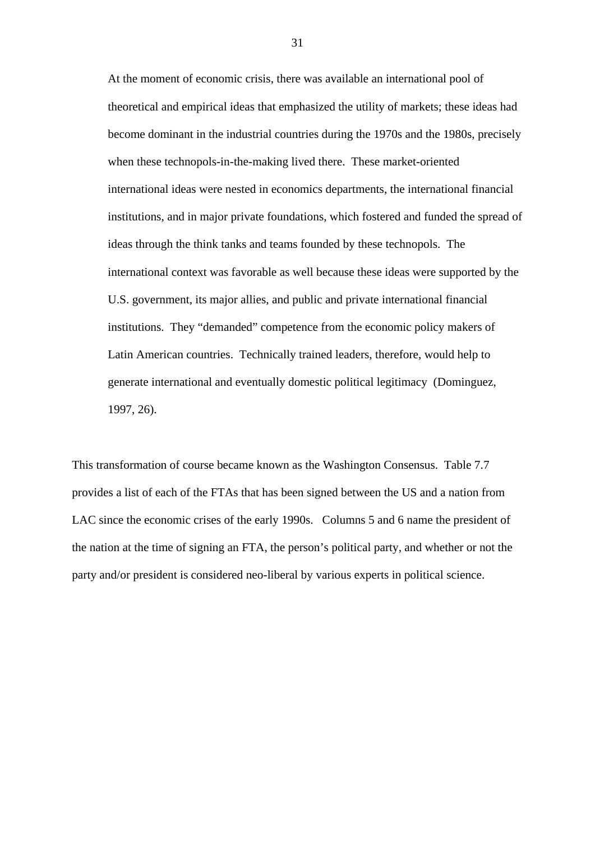At the moment of economic crisis, there was available an international pool of theoretical and empirical ideas that emphasized the utility of markets; these ideas had become dominant in the industrial countries during the 1970s and the 1980s, precisely when these technopols-in-the-making lived there. These market-oriented international ideas were nested in economics departments, the international financial institutions, and in major private foundations, which fostered and funded the spread of ideas through the think tanks and teams founded by these technopols. The international context was favorable as well because these ideas were supported by the U.S. government, its major allies, and public and private international financial institutions. They "demanded" competence from the economic policy makers of Latin American countries. Technically trained leaders, therefore, would help to generate international and eventually domestic political legitimacy (Dominguez, 1997, 26).

This transformation of course became known as the Washington Consensus. Table 7.7 provides a list of each of the FTAs that has been signed between the US and a nation from LAC since the economic crises of the early 1990s. Columns 5 and 6 name the president of the nation at the time of signing an FTA, the person's political party, and whether or not the party and/or president is considered neo-liberal by various experts in political science.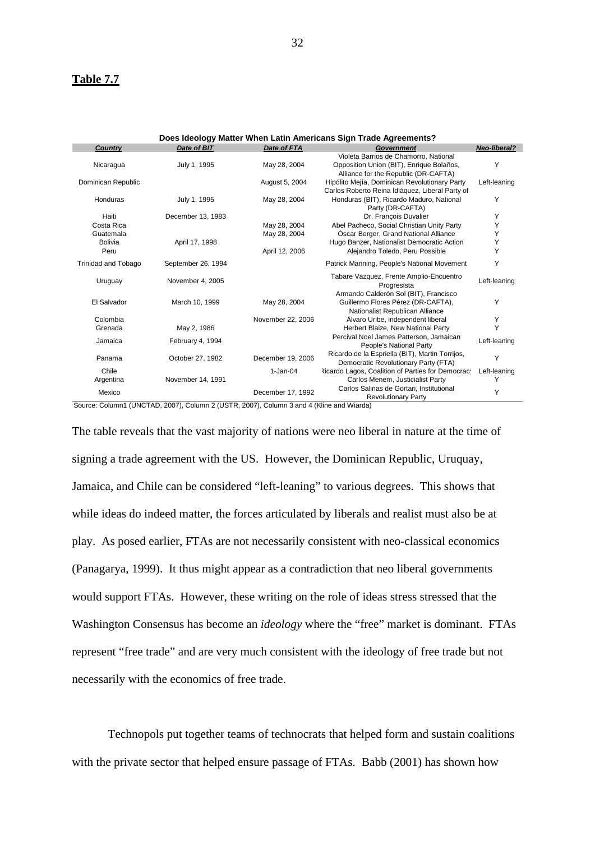# **Table 7.7**

| Does Ideology Matter When Latin Americans Sign Trade Agreements? |                    |                   |                                                                                                                |              |  |
|------------------------------------------------------------------|--------------------|-------------------|----------------------------------------------------------------------------------------------------------------|--------------|--|
| <b>Country</b>                                                   | Date of BIT        | Date of FTA       | Government                                                                                                     | Neo-liberal? |  |
|                                                                  |                    |                   | Violeta Barrios de Chamorro, National                                                                          |              |  |
| Nicaragua                                                        | July 1, 1995       | May 28, 2004      | Opposition Union (BIT), Enrique Bolaños,                                                                       | Y            |  |
|                                                                  |                    |                   | Alliance for the Republic (DR-CAFTA)                                                                           |              |  |
| Dominican Republic                                               |                    | August 5, 2004    | Hipólito Mejía, Dominican Revolutionary Party                                                                  | Left-leaning |  |
|                                                                  |                    |                   | Carlos Roberto Reina Idiáquez, Liberal Party of                                                                |              |  |
| Honduras                                                         | July 1, 1995       | May 28, 2004      | Honduras (BIT), Ricardo Maduro, National<br>Party (DR-CAFTA)                                                   | Υ            |  |
| Haiti                                                            | December 13, 1983  |                   | Dr. François Duvalier                                                                                          | Υ            |  |
| Costa Rica                                                       |                    | May 28, 2004      | Abel Pacheco, Social Christian Unity Party                                                                     | Υ            |  |
| Guatemala                                                        |                    | May 28, 2004      | Óscar Berger, Grand National Alliance                                                                          | Υ            |  |
| <b>Bolivia</b>                                                   | April 17, 1998     |                   | Hugo Banzer, Nationalist Democratic Action                                                                     | Υ            |  |
| Peru                                                             |                    | April 12, 2006    | Alejandro Toledo, Peru Possible                                                                                | Υ            |  |
| <b>Trinidad and Tobago</b>                                       | September 26, 1994 |                   | Patrick Manning, People's National Movement                                                                    | Y            |  |
| Uruguay                                                          | November 4, 2005   |                   | Tabare Vazquez, Frente Amplio-Encuentro<br>Progresista                                                         | Left-leaning |  |
| El Salvador                                                      | March 10, 1999     | May 28, 2004      | Armando Calderón Sol (BIT), Francisco<br>Guillermo Flores Pérez (DR-CAFTA),<br>Nationalist Republican Alliance | Y            |  |
| Colombia                                                         |                    | November 22, 2006 | Álvaro Uribe, independent liberal                                                                              | Υ            |  |
| Grenada                                                          | May 2, 1986        |                   | Herbert Blaize, New National Party                                                                             | Y            |  |
| Jamaica                                                          | February 4, 1994   |                   | Percival Noel James Patterson, Jamaican<br>People's National Party                                             | Left-leaning |  |
| Panama                                                           | October 27, 1982   | December 19, 2006 | Ricardo de la Espriella (BIT), Martin Torrijos,<br>Democratic Revolutionary Party (FTA)                        | Y            |  |
| Chile                                                            |                    | $1-Jan-04$        | Ricardo Lagos, Coalition of Parties for Democrac                                                               | Left-leaning |  |
| Argentina                                                        | November 14, 1991  |                   | Carlos Menem, Justicialist Party                                                                               |              |  |
| Mexico                                                           |                    | December 17, 1992 | Carlos Salinas de Gortari, Institutional<br><b>Revolutionary Party</b>                                         | Υ            |  |

Source: Column1 (UNCTAD, 2007), Column 2 (USTR, 2007), Column 3 and 4 (Kline and Wiarda)

The table reveals that the vast majority of nations were neo liberal in nature at the time of signing a trade agreement with the US. However, the Dominican Republic, Uruquay, Jamaica, and Chile can be considered "left-leaning" to various degrees. This shows that while ideas do indeed matter, the forces articulated by liberals and realist must also be at play. As posed earlier, FTAs are not necessarily consistent with neo-classical economics (Panagarya, 1999). It thus might appear as a contradiction that neo liberal governments would support FTAs. However, these writing on the role of ideas stress stressed that the Washington Consensus has become an *ideology* where the "free" market is dominant. FTAs represent "free trade" and are very much consistent with the ideology of free trade but not necessarily with the economics of free trade.

 Technopols put together teams of technocrats that helped form and sustain coalitions with the private sector that helped ensure passage of FTAs. Babb (2001) has shown how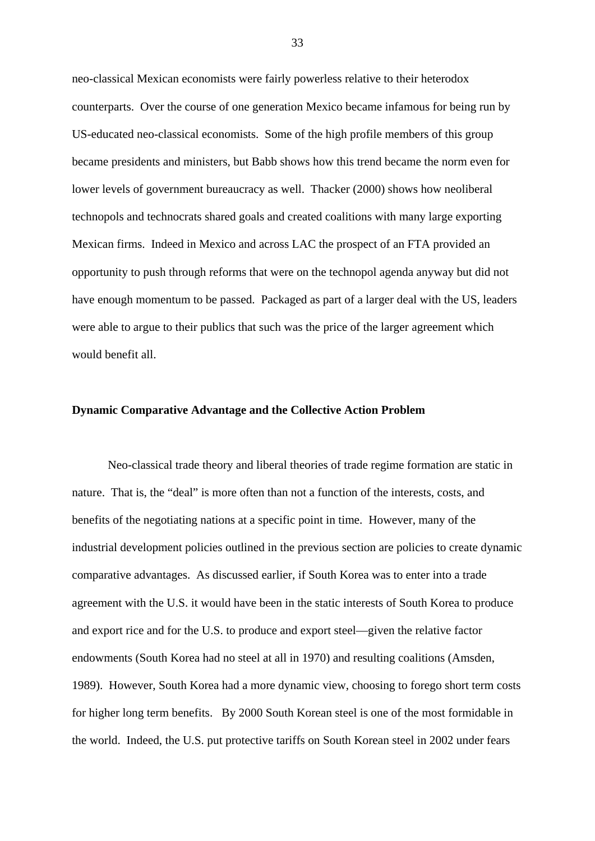neo-classical Mexican economists were fairly powerless relative to their heterodox counterparts. Over the course of one generation Mexico became infamous for being run by US-educated neo-classical economists. Some of the high profile members of this group became presidents and ministers, but Babb shows how this trend became the norm even for lower levels of government bureaucracy as well. Thacker (2000) shows how neoliberal technopols and technocrats shared goals and created coalitions with many large exporting Mexican firms. Indeed in Mexico and across LAC the prospect of an FTA provided an opportunity to push through reforms that were on the technopol agenda anyway but did not have enough momentum to be passed. Packaged as part of a larger deal with the US, leaders were able to argue to their publics that such was the price of the larger agreement which would benefit all.

# **Dynamic Comparative Advantage and the Collective Action Problem**

 Neo-classical trade theory and liberal theories of trade regime formation are static in nature. That is, the "deal" is more often than not a function of the interests, costs, and benefits of the negotiating nations at a specific point in time. However, many of the industrial development policies outlined in the previous section are policies to create dynamic comparative advantages. As discussed earlier, if South Korea was to enter into a trade agreement with the U.S. it would have been in the static interests of South Korea to produce and export rice and for the U.S. to produce and export steel—given the relative factor endowments (South Korea had no steel at all in 1970) and resulting coalitions (Amsden, 1989). However, South Korea had a more dynamic view, choosing to forego short term costs for higher long term benefits. By 2000 South Korean steel is one of the most formidable in the world. Indeed, the U.S. put protective tariffs on South Korean steel in 2002 under fears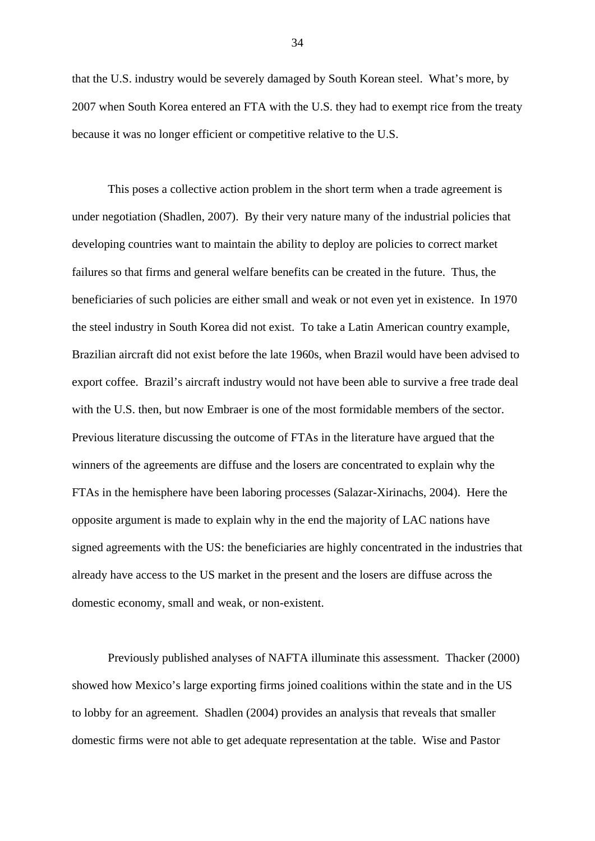that the U.S. industry would be severely damaged by South Korean steel. What's more, by 2007 when South Korea entered an FTA with the U.S. they had to exempt rice from the treaty because it was no longer efficient or competitive relative to the U.S.

 This poses a collective action problem in the short term when a trade agreement is under negotiation (Shadlen, 2007). By their very nature many of the industrial policies that developing countries want to maintain the ability to deploy are policies to correct market failures so that firms and general welfare benefits can be created in the future. Thus, the beneficiaries of such policies are either small and weak or not even yet in existence. In 1970 the steel industry in South Korea did not exist. To take a Latin American country example, Brazilian aircraft did not exist before the late 1960s, when Brazil would have been advised to export coffee. Brazil's aircraft industry would not have been able to survive a free trade deal with the U.S. then, but now Embraer is one of the most formidable members of the sector. Previous literature discussing the outcome of FTAs in the literature have argued that the winners of the agreements are diffuse and the losers are concentrated to explain why the FTAs in the hemisphere have been laboring processes (Salazar-Xirinachs, 2004). Here the opposite argument is made to explain why in the end the majority of LAC nations have signed agreements with the US: the beneficiaries are highly concentrated in the industries that already have access to the US market in the present and the losers are diffuse across the domestic economy, small and weak, or non-existent.

 Previously published analyses of NAFTA illuminate this assessment. Thacker (2000) showed how Mexico's large exporting firms joined coalitions within the state and in the US to lobby for an agreement. Shadlen (2004) provides an analysis that reveals that smaller domestic firms were not able to get adequate representation at the table. Wise and Pastor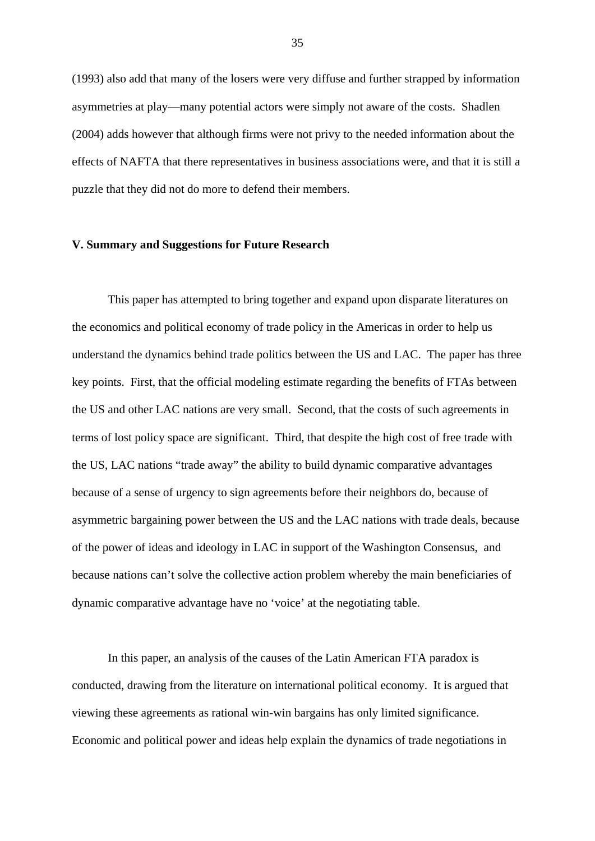(1993) also add that many of the losers were very diffuse and further strapped by information asymmetries at play—many potential actors were simply not aware of the costs. Shadlen (2004) adds however that although firms were not privy to the needed information about the effects of NAFTA that there representatives in business associations were, and that it is still a puzzle that they did not do more to defend their members.

# **V. Summary and Suggestions for Future Research**

This paper has attempted to bring together and expand upon disparate literatures on the economics and political economy of trade policy in the Americas in order to help us understand the dynamics behind trade politics between the US and LAC. The paper has three key points. First, that the official modeling estimate regarding the benefits of FTAs between the US and other LAC nations are very small. Second, that the costs of such agreements in terms of lost policy space are significant. Third, that despite the high cost of free trade with the US, LAC nations "trade away" the ability to build dynamic comparative advantages because of a sense of urgency to sign agreements before their neighbors do, because of asymmetric bargaining power between the US and the LAC nations with trade deals, because of the power of ideas and ideology in LAC in support of the Washington Consensus, and because nations can't solve the collective action problem whereby the main beneficiaries of dynamic comparative advantage have no 'voice' at the negotiating table.

In this paper, an analysis of the causes of the Latin American FTA paradox is conducted, drawing from the literature on international political economy. It is argued that viewing these agreements as rational win-win bargains has only limited significance. Economic and political power and ideas help explain the dynamics of trade negotiations in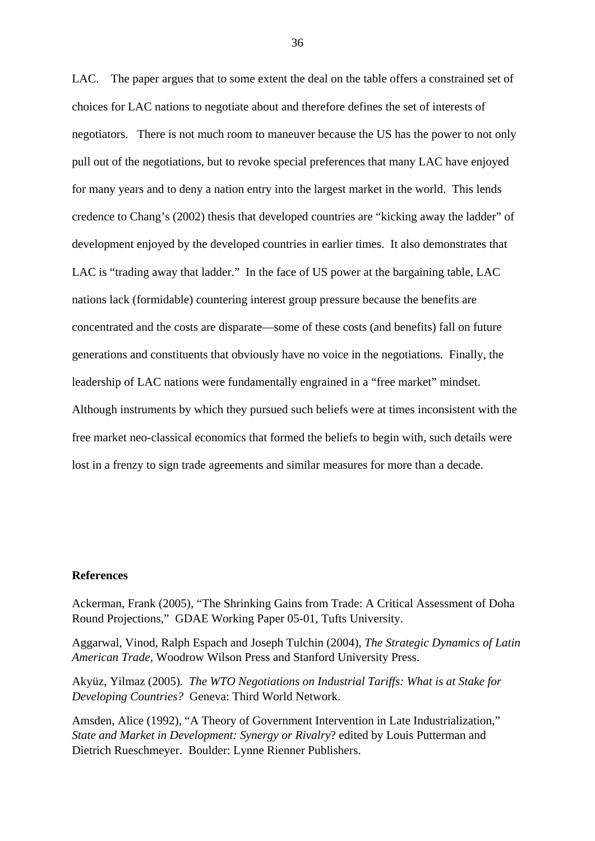LAC. The paper argues that to some extent the deal on the table offers a constrained set of choices for LAC nations to negotiate about and therefore defines the set of interests of negotiators. There is not much room to maneuver because the US has the power to not only pull out of the negotiations, but to revoke special preferences that many LAC have enjoyed for many years and to deny a nation entry into the largest market in the world. This lends credence to Chang's (2002) thesis that developed countries are "kicking away the ladder" of development enjoyed by the developed countries in earlier times. It also demonstrates that LAC is "trading away that ladder." In the face of US power at the bargaining table, LAC nations lack (formidable) countering interest group pressure because the benefits are concentrated and the costs are disparate—some of these costs (and benefits) fall on future generations and constituents that obviously have no voice in the negotiations. Finally, the leadership of LAC nations were fundamentally engrained in a "free market" mindset. Although instruments by which they pursued such beliefs were at times inconsistent with the free market neo-classical economics that formed the beliefs to begin with, such details were lost in a frenzy to sign trade agreements and similar measures for more than a decade.

# **References**

Ackerman, Frank (2005), "The Shrinking Gains from Trade: A Critical Assessment of Doha Round Projections," GDAE Working Paper 05-01, Tufts University.

Aggarwal, Vinod, Ralph Espach and Joseph Tulchin (2004), *The Strategic Dynamics of Latin American Trade,* Woodrow Wilson Press and Stanford University Press.

Akyüz, Yilmaz (2005). *The WTO Negotiations on Industrial Tariffs: What is at Stake for Developing Countries?* Geneva: Third World Network.

Amsden, Alice (1992), "A Theory of Government Intervention in Late Industrialization," *State and Market in Development: Synergy or Rivalry*? edited by Louis Putterman and Dietrich Rueschmeyer. Boulder: Lynne Rienner Publishers.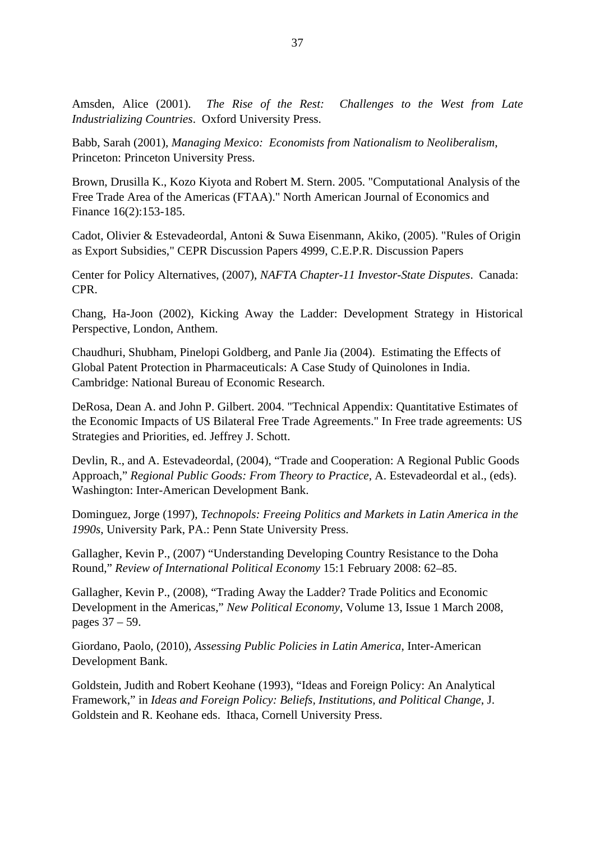Amsden, Alice (2001). *The Rise of the Rest: Challenges to the West from Late Industrializing Countries*. Oxford University Press.

Babb, Sarah (2001), *Managing Mexico: Economists from Nationalism to Neoliberalism*, Princeton: Princeton University Press.

Brown, Drusilla K., Kozo Kiyota and Robert M. Stern. 2005. "Computational Analysis of the Free Trade Area of the Americas (FTAA)." North American Journal of Economics and Finance 16(2):153-185.

Cadot, Olivier & Estevadeordal, Antoni & Suwa Eisenmann, Akiko, (2005). "Rules of Origin as Export Subsidies," CEPR Discussion Papers 4999, C.E.P.R. Discussion Papers

Center for Policy Alternatives, (2007), *NAFTA Chapter-11 Investor-State Disputes*. Canada: CPR.

Chang, Ha-Joon (2002), Kicking Away the Ladder: Development Strategy in Historical Perspective, London, Anthem.

Chaudhuri, Shubham, Pinelopi Goldberg, and Panle Jia (2004). Estimating the Effects of Global Patent Protection in Pharmaceuticals: A Case Study of Quinolones in India. Cambridge: National Bureau of Economic Research.

DeRosa, Dean A. and John P. Gilbert. 2004. "Technical Appendix: Quantitative Estimates of the Economic Impacts of US Bilateral Free Trade Agreements." In Free trade agreements: US Strategies and Priorities, ed. Jeffrey J. Schott.

Devlin, R., and A. Estevadeordal, (2004), "Trade and Cooperation: A Regional Public Goods Approach," *Regional Public Goods: From Theory to Practice*, A. Estevadeordal et al., (eds). Washington: Inter-American Development Bank.

Dominguez, Jorge (1997), *Technopols: Freeing Politics and Markets in Latin America in the 1990s*, University Park, PA.: Penn State University Press.

Gallagher, Kevin P., (2007) "Understanding Developing Country Resistance to the Doha Round," *Review of International Political Economy* 15:1 February 2008: 62–85.

Gallagher, Kevin P., (2008), "Trading Away the Ladder? Trade Politics and Economic Development in the Americas," *New Political Economy*, Volume 13, Issue 1 March 2008, pages 37 – 59.

Giordano, Paolo, (2010), *Assessing Public Policies in Latin America*, Inter-American Development Bank.

Goldstein, Judith and Robert Keohane (1993), "Ideas and Foreign Policy: An Analytical Framework," in *Ideas and Foreign Policy: Beliefs, Institutions, and Political Change*, J. Goldstein and R. Keohane eds. Ithaca, Cornell University Press.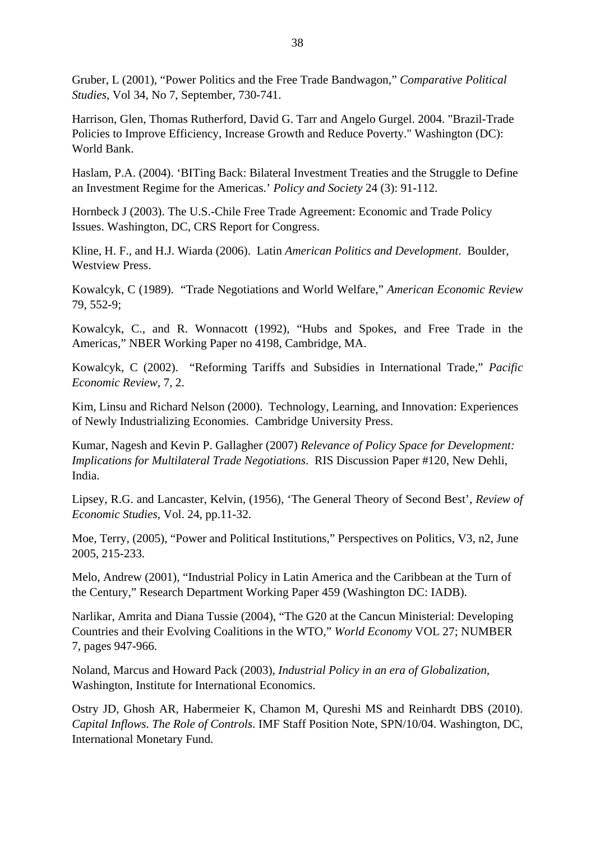Gruber, L (2001), "Power Politics and the Free Trade Bandwagon," *Comparative Political Studies,* Vol 34, No 7, September, 730-741.

Harrison, Glen, Thomas Rutherford, David G. Tarr and Angelo Gurgel. 2004. "Brazil-Trade Policies to Improve Efficiency, Increase Growth and Reduce Poverty." Washington (DC): World Bank.

Haslam, P.A. (2004). 'BITing Back: Bilateral Investment Treaties and the Struggle to Define an Investment Regime for the Americas.' *Policy and Society* 24 (3): 91-112.

Hornbeck J (2003). The U.S.-Chile Free Trade Agreement: Economic and Trade Policy Issues. Washington, DC, CRS Report for Congress.

Kline, H. F., and H.J. Wiarda (2006). Latin *American Politics and Development*. Boulder, Westview Press.

Kowalcyk, C (1989). "Trade Negotiations and World Welfare," *American Economic Review*  79, 552-9;

Kowalcyk, C., and R. Wonnacott (1992), "Hubs and Spokes, and Free Trade in the Americas," NBER Working Paper no 4198, Cambridge, MA.

Kowalcyk, C (2002). "Reforming Tariffs and Subsidies in International Trade," *Pacific Economic Review*, 7, 2.

Kim, Linsu and Richard Nelson (2000). Technology, Learning, and Innovation: Experiences of Newly Industrializing Economies. Cambridge University Press.

Kumar, Nagesh and Kevin P. Gallagher (2007) *Relevance of Policy Space for Development: Implications for Multilateral Trade Negotiations*. RIS Discussion Paper #120, New Dehli, India.

Lipsey, R.G. and Lancaster, Kelvin, (1956), 'The General Theory of Second Best', *Review of Economic Studies,* Vol. 24, pp.11-32.

Moe, Terry, (2005), "Power and Political Institutions," Perspectives on Politics, V3, n2, June 2005, 215-233.

Melo, Andrew (2001), "Industrial Policy in Latin America and the Caribbean at the Turn of the Century," Research Department Working Paper 459 (Washington DC: IADB).

Narlikar, Amrita and Diana Tussie (2004), "The G20 at the Cancun Ministerial: Developing Countries and their Evolving Coalitions in the WTO," *World Economy* VOL 27; NUMBER 7, pages 947-966.

Noland, Marcus and Howard Pack (2003), *Industrial Policy in an era of Globalization,* Washington, Institute for International Economics.

Ostry JD, Ghosh AR, Habermeier K, Chamon M, Qureshi MS and Reinhardt DBS (2010). *Capital Inflows. The Role of Controls*. IMF Staff Position Note, SPN/10/04. Washington, DC, International Monetary Fund.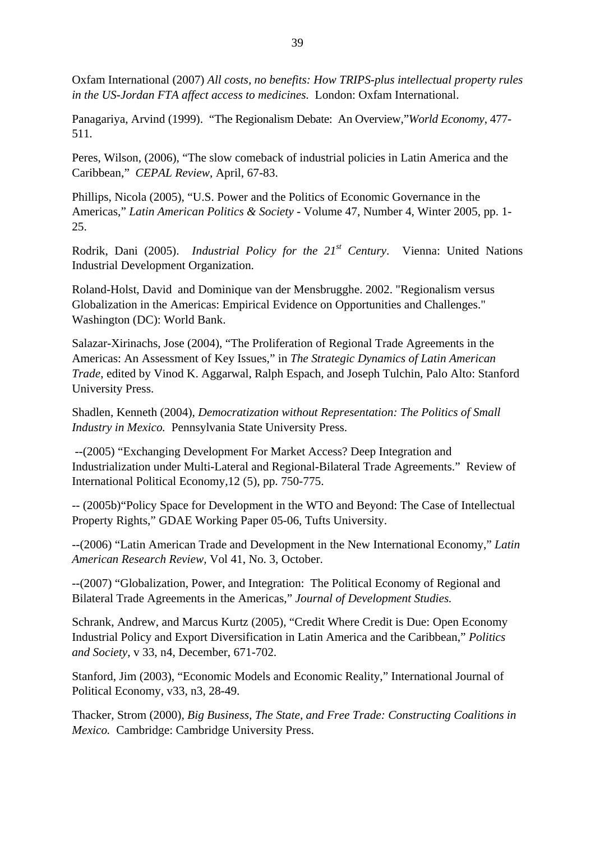Oxfam International (2007) *All costs, no benefits: How TRIPS-plus intellectual property rules in the US-Jordan FTA affect access to medicines.* London: Oxfam International.

Panagariya, Arvind (1999). "The Regionalism Debate: An Overview,"*World Economy*, 477- 511.

Peres, Wilson, (2006), "The slow comeback of industrial policies in Latin America and the Caribbean," *CEPAL Review*, April, 67-83.

Phillips, Nicola (2005), "U.S. Power and the Politics of Economic Governance in the Americas," *Latin American Politics & Society* - Volume 47, Number 4, Winter 2005, pp. 1- 25.

Rodrik, Dani (2005). *Industrial Policy for the 21st Century*. Vienna: United Nations Industrial Development Organization.

Roland-Holst, David and Dominique van der Mensbrugghe. 2002. "Regionalism versus Globalization in the Americas: Empirical Evidence on Opportunities and Challenges." Washington (DC): World Bank.

Salazar-Xirinachs, Jose (2004), "The Proliferation of Regional Trade Agreements in the Americas: An Assessment of Key Issues," in *The Strategic Dynamics of Latin American Trade*, edited by Vinod K. Aggarwal, Ralph Espach, and Joseph Tulchin, Palo Alto: Stanford University Press.

Shadlen, Kenneth (2004), *Democratization without Representation: The Politics of Small Industry in Mexico.* Pennsylvania State University Press.

 --(2005) "Exchanging Development For Market Access? Deep Integration and Industrialization under Multi-Lateral and Regional-Bilateral Trade Agreements." Review of International Political Economy,12 (5), pp. 750-775.

-- (2005b)"Policy Space for Development in the WTO and Beyond: The Case of Intellectual Property Rights," GDAE Working Paper 05-06, Tufts University.

--(2006) "Latin American Trade and Development in the New International Economy," *Latin American Research Review,* Vol 41, No. 3, October.

--(2007) "Globalization, Power, and Integration: The Political Economy of Regional and Bilateral Trade Agreements in the Americas," *Journal of Development Studies.*

Schrank, Andrew, and Marcus Kurtz (2005), "Credit Where Credit is Due: Open Economy Industrial Policy and Export Diversification in Latin America and the Caribbean," *Politics and Society*, v 33, n4, December, 671-702.

Stanford, Jim (2003), "Economic Models and Economic Reality," International Journal of Political Economy, v33, n3, 28-49.

Thacker, Strom (2000), *Big Business, The State, and Free Trade: Constructing Coalitions in Mexico.* Cambridge: Cambridge University Press.